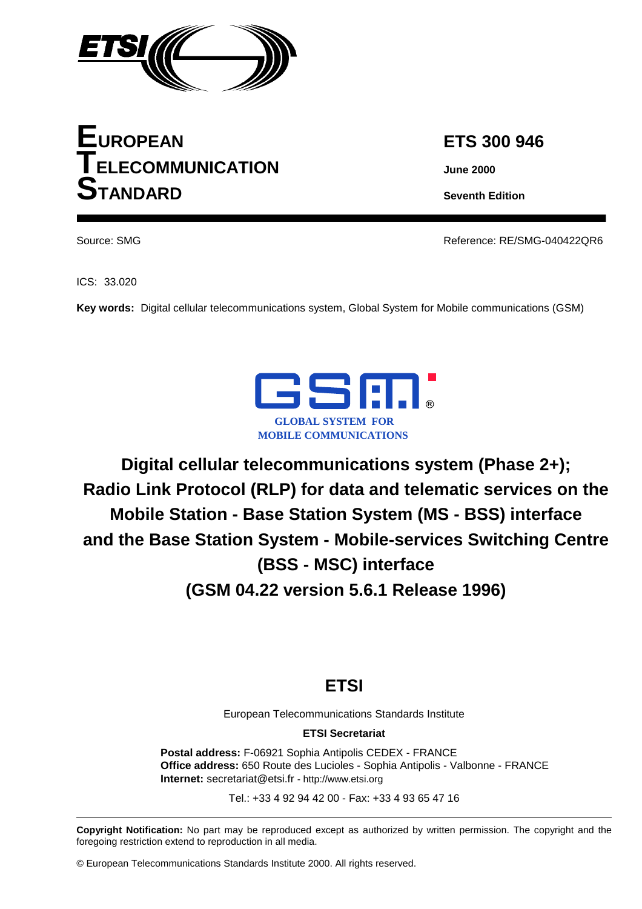

# **EUROPEAN ETS 300 946 TELECOMMUNICATION** June 2000 **STANDARD** Seventh Edition

Source: SMG **Reference: RE/SMG-040422QR6** 

ICS: 33.020

**Key words:** Digital cellular telecommunications system, Global System for Mobile communications (GSM)



# **Digital cellular telecommunications system (Phase 2+); Radio Link Protocol (RLP) for data and telematic services on the Mobile Station - Base Station System (MS - BSS) interface and the Base Station System - Mobile-services Switching Centre (BSS - MSC) interface (GSM 04.22 version 5.6.1 Release 1996)**

# **ETSI**

European Telecommunications Standards Institute

# **ETSI Secretariat**

**Postal address:** F-06921 Sophia Antipolis CEDEX - FRANCE **Office address:** 650 Route des Lucioles - Sophia Antipolis - Valbonne - FRANCE **Internet:** secretariat@etsi.fr - http://www.etsi.org

Tel.: +33 4 92 94 42 00 - Fax: +33 4 93 65 47 16

**Copyright Notification:** No part may be reproduced except as authorized by written permission. The copyright and the foregoing restriction extend to reproduction in all media.

© European Telecommunications Standards Institute 2000. All rights reserved.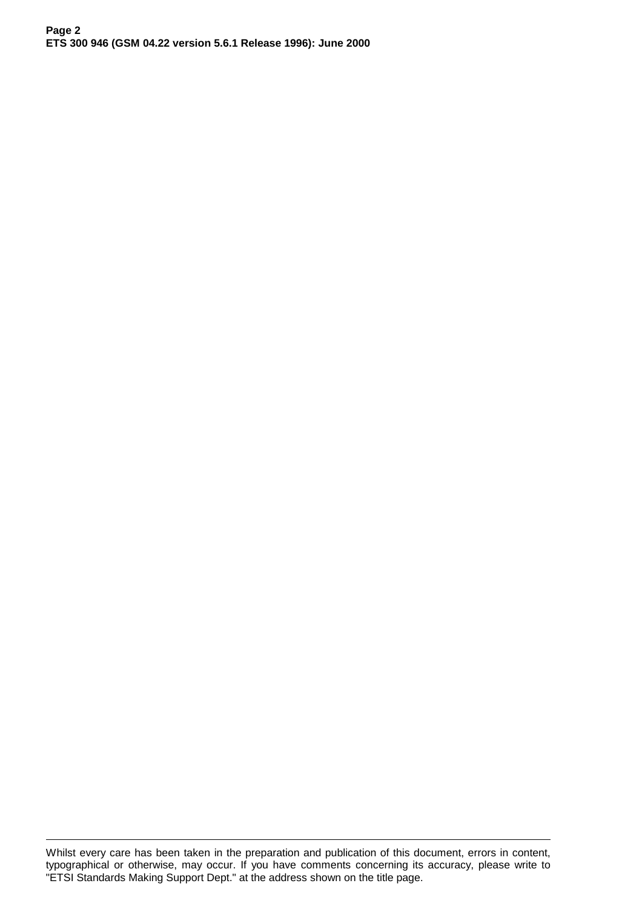**Page 2 ETS 300 946 (GSM 04.22 version 5.6.1 Release 1996): June 2000**

Whilst every care has been taken in the preparation and publication of this document, errors in content, typographical or otherwise, may occur. If you have comments concerning its accuracy, please write to "ETSI Standards Making Support Dept." at the address shown on the title page.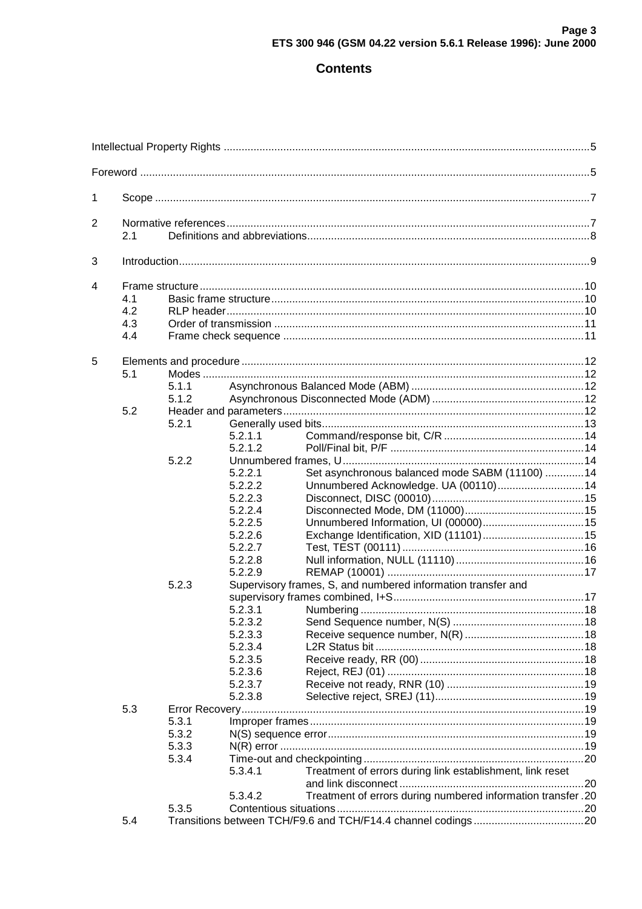# **Contents**

| $\mathbf{1}$   |     |       |         |                                                              |  |
|----------------|-----|-------|---------|--------------------------------------------------------------|--|
| $\overline{2}$ |     |       |         |                                                              |  |
|                | 2.1 |       |         |                                                              |  |
| 3              |     |       |         |                                                              |  |
| 4              |     |       |         |                                                              |  |
|                | 4.1 |       |         |                                                              |  |
|                | 4.2 |       |         |                                                              |  |
|                | 4.3 |       |         |                                                              |  |
|                | 4.4 |       |         |                                                              |  |
| 5              |     |       |         |                                                              |  |
|                | 5.1 |       |         |                                                              |  |
|                |     | 5.1.1 |         |                                                              |  |
|                |     | 5.1.2 |         |                                                              |  |
|                | 5.2 |       |         |                                                              |  |
|                |     | 5.2.1 |         |                                                              |  |
|                |     |       | 5.2.1.1 |                                                              |  |
|                |     |       | 5.2.1.2 |                                                              |  |
|                |     | 5.2.2 |         |                                                              |  |
|                |     |       | 5.2.2.1 | Set asynchronous balanced mode SABM (11100) 14               |  |
|                |     |       | 5.2.2.2 | Unnumbered Acknowledge. UA (00110)14                         |  |
|                |     |       | 5.2.2.3 |                                                              |  |
|                |     |       | 5.2.2.4 |                                                              |  |
|                |     |       | 5.2.2.5 |                                                              |  |
|                |     |       | 5.2.2.6 |                                                              |  |
|                |     |       | 5.2.2.7 |                                                              |  |
|                |     |       | 5.2.2.8 |                                                              |  |
|                |     |       | 5.2.2.9 |                                                              |  |
|                |     | 5.2.3 |         | Supervisory frames, S, and numbered information transfer and |  |
|                |     |       |         |                                                              |  |
|                |     |       | 5.2.3.1 |                                                              |  |
|                |     |       | 5.2.3.2 |                                                              |  |
|                |     |       | 5.2.3.3 |                                                              |  |
|                |     |       | 5.2.3.4 |                                                              |  |
|                |     |       | 5.2.3.5 |                                                              |  |
|                |     |       | 5.2.3.6 |                                                              |  |
|                |     |       | 5.2.3.7 |                                                              |  |
|                |     |       | 5.2.3.8 |                                                              |  |
|                | 5.3 |       |         |                                                              |  |
|                |     | 5.3.1 |         |                                                              |  |
|                |     | 5.3.2 |         |                                                              |  |
|                |     | 5.3.3 |         |                                                              |  |
|                |     | 5.3.4 |         |                                                              |  |
|                |     |       | 5.3.4.1 | Treatment of errors during link establishment, link reset    |  |
|                |     |       |         |                                                              |  |
|                |     |       | 5.3.4.2 | Treatment of errors during numbered information transfer .20 |  |
|                |     | 5.3.5 |         |                                                              |  |
|                | 5.4 |       |         |                                                              |  |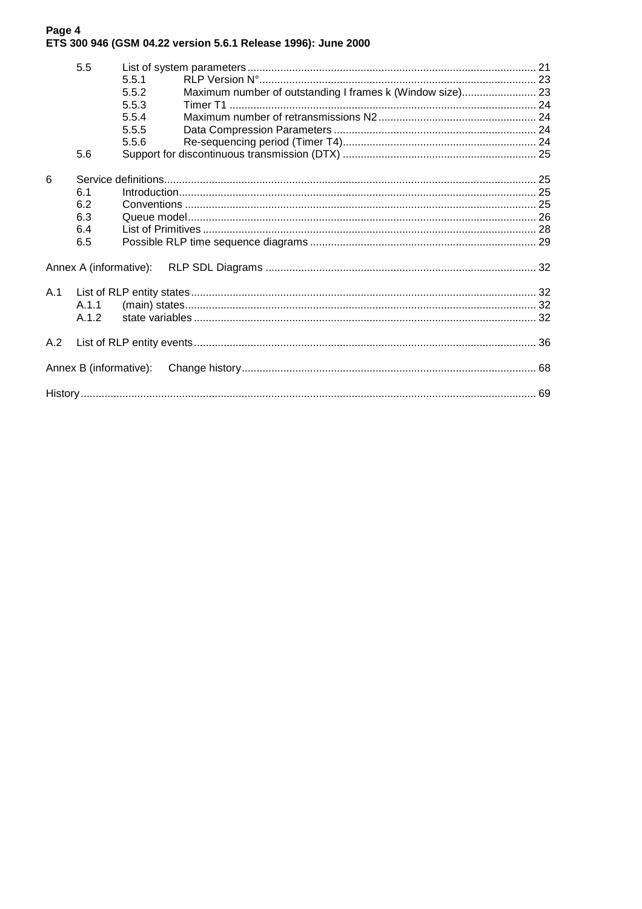# Page 4<br>ETS 300 946 (GSM 04.22 version 5.6.1 Release 1996): June 2000

|     | 5.5<br>5.6             | 5.5.1<br>5.5.2<br>5.5.3<br>5.5.4<br>5.5.5<br>5.5.6 | Maximum number of outstanding I frames k (Window size) 23 |  |
|-----|------------------------|----------------------------------------------------|-----------------------------------------------------------|--|
| 6   |                        |                                                    |                                                           |  |
|     | 6.1<br>6.2             |                                                    |                                                           |  |
|     | 6.3                    |                                                    |                                                           |  |
|     | 6.4                    |                                                    |                                                           |  |
|     | 6.5                    |                                                    |                                                           |  |
|     |                        |                                                    |                                                           |  |
|     | Annex A (informative): |                                                    |                                                           |  |
| A.1 |                        |                                                    |                                                           |  |
|     | A.1.1                  |                                                    |                                                           |  |
|     | A.1.2                  |                                                    |                                                           |  |
| A.2 |                        |                                                    |                                                           |  |
|     | Annex B (informative): |                                                    |                                                           |  |
|     |                        |                                                    |                                                           |  |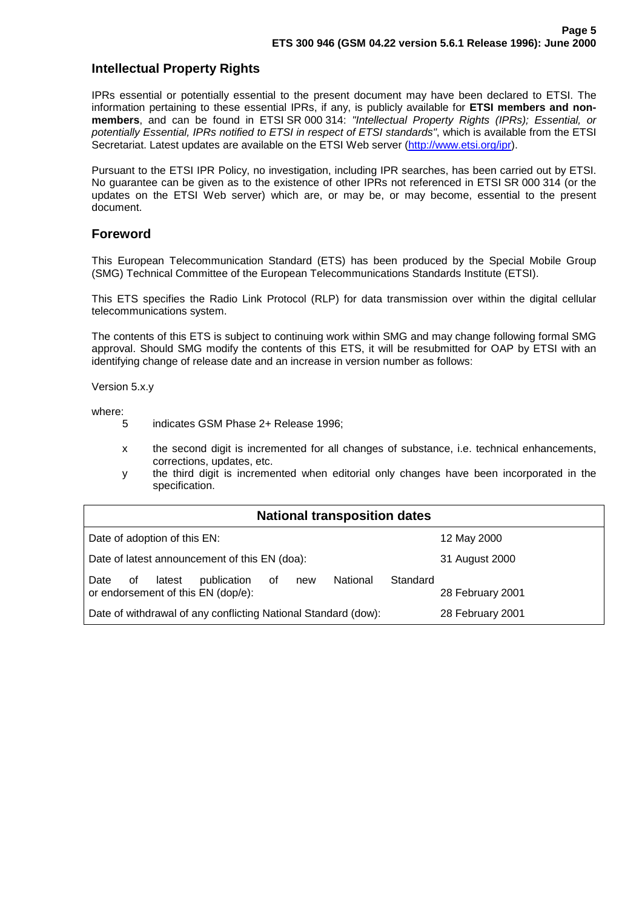# **Intellectual Property Rights**

IPRs essential or potentially essential to the present document may have been declared to ETSI. The information pertaining to these essential IPRs, if any, is publicly available for **ETSI members and nonmembers**, and can be found in ETSI SR 000 314: "Intellectual Property Rights (IPRs); Essential, or potentially Essential, IPRs notified to ETSI in respect of ETSI standards", which is available from the ETSI Secretariat. Latest updates are available on th[e ETSI Web server \(h](http://www.etsi.org/ipr)ttp://www.etsi.org/ipr).

Pursuant to the ETSI IPR Policy, no investigation, including IPR searches, has been carried out by ETSI. No guarantee can be given as to the existence of other IPRs not referenced in ETSI SR 000 314 (or the updates on the ETSI Web server) which are, or may be, or may become, essential to the present document.

# **Foreword**

This European Telecommunication Standard (ETS) has been produced by the Special Mobile Group (SMG) Technical Committee of the European Telecommunications Standards Institute (ETSI).

This ETS specifies the Radio Link Protocol (RLP) for data transmission over within the digital cellular telecommunications system.

The contents of this ETS is subject to continuing work within SMG and may change following formal SMG approval. Should SMG modify the contents of this ETS, it will be resubmitted for OAP by ETSI with an identifying change of release date and an increase in version number as follows:

Version 5.x.y

where:

- 5 indicates GSM Phase 2+ Release 1996;
- x the second digit is incremented for all changes of substance, i.e. technical enhancements, corrections, updates, etc.
- y the third digit is incremented when editorial only changes have been incorporated in the specification.

| <b>National transposition dates</b>                                                                            |                  |  |  |  |  |  |  |  |  |  |
|----------------------------------------------------------------------------------------------------------------|------------------|--|--|--|--|--|--|--|--|--|
| Date of adoption of this EN:                                                                                   | 12 May 2000      |  |  |  |  |  |  |  |  |  |
| Date of latest announcement of this EN (doa):                                                                  | 31 August 2000   |  |  |  |  |  |  |  |  |  |
| publication<br>National<br>Standard<br>latest<br>Date<br>of<br>0f<br>new<br>or endorsement of this EN (dop/e): | 28 February 2001 |  |  |  |  |  |  |  |  |  |
| Date of withdrawal of any conflicting National Standard (dow):<br>28 February 2001                             |                  |  |  |  |  |  |  |  |  |  |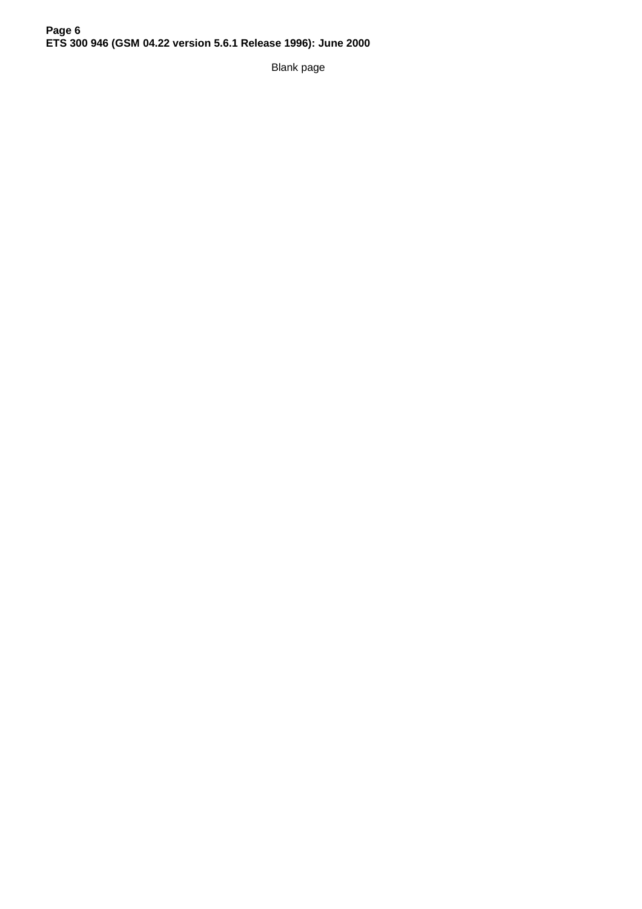Blank page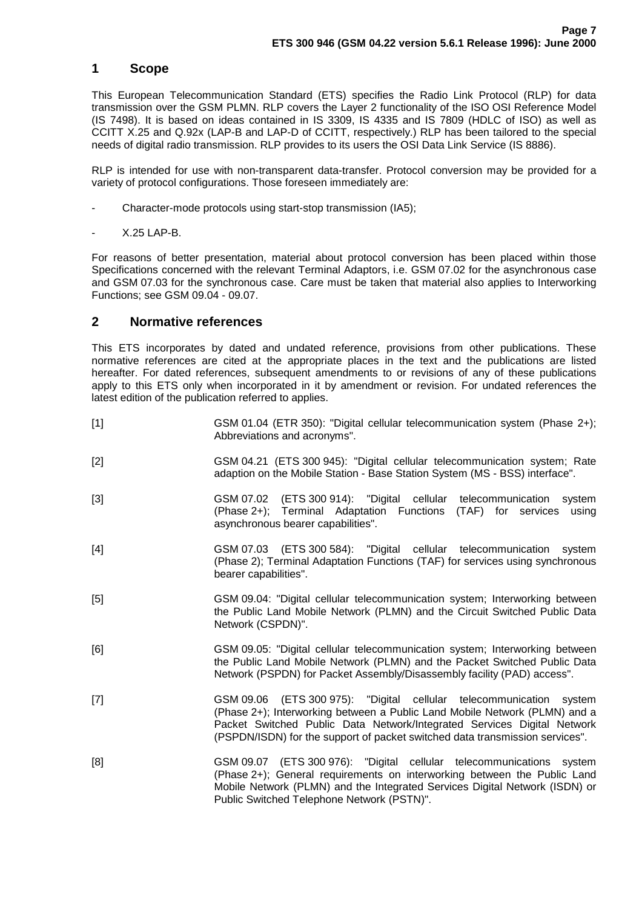# **1 Scope**

This European Telecommunication Standard (ETS) specifies the Radio Link Protocol (RLP) for data transmission over the GSM PLMN. RLP covers the Layer 2 functionality of the ISO OSI Reference Model (IS 7498). It is based on ideas contained in IS 3309, IS 4335 and IS 7809 (HDLC of ISO) as well as CCITT X.25 and Q.92x (LAP-B and LAP-D of CCITT, respectively.) RLP has been tailored to the special needs of digital radio transmission. RLP provides to its users the OSI Data Link Service (IS 8886).

RLP is intended for use with non-transparent data-transfer. Protocol conversion may be provided for a variety of protocol configurations. Those foreseen immediately are:

- Character-mode protocols using start-stop transmission (IA5);
- X.25 LAP-B.

For reasons of better presentation, material about protocol conversion has been placed within those Specifications concerned with the relevant Terminal Adaptors, i.e. GSM 07.02 for the asynchronous case and GSM 07.03 for the synchronous case. Care must be taken that material also applies to Interworking Functions; see GSM 09.04 - 09.07.

# **2 Normative references**

This ETS incorporates by dated and undated reference, provisions from other publications. These normative references are cited at the appropriate places in the text and the publications are listed hereafter. For dated references, subsequent amendments to or revisions of any of these publications apply to this ETS only when incorporated in it by amendment or revision. For undated references the latest edition of the publication referred to applies.

- [1] GSM 01.04 (ETR 350): "Digital cellular telecommunication system (Phase 2+); Abbreviations and acronyms".
- [2] GSM 04.21 (ETS 300 945): "Digital cellular telecommunication system; Rate adaption on the Mobile Station - Base Station System (MS - BSS) interface".
- [3] GSM 07.02 (ETS 300 914): "Digital cellular telecommunication system (Phase 2+); Terminal Adaptation Functions (TAF) for services using asynchronous bearer capabilities".
- [4] GSM 07.03 (ETS 300 584): "Digital cellular telecommunication system (Phase 2); Terminal Adaptation Functions (TAF) for services using synchronous bearer capabilities".
- [5] GSM 09.04: "Digital cellular telecommunication system; Interworking between the Public Land Mobile Network (PLMN) and the Circuit Switched Public Data Network (CSPDN)".
- [6] GSM 09.05: "Digital cellular telecommunication system; Interworking between the Public Land Mobile Network (PLMN) and the Packet Switched Public Data Network (PSPDN) for Packet Assembly/Disassembly facility (PAD) access".
- [7] GSM 09.06 (ETS 300 975): "Digital cellular telecommunication system (Phase 2+); Interworking between a Public Land Mobile Network (PLMN) and a Packet Switched Public Data Network/Integrated Services Digital Network (PSPDN/ISDN) for the support of packet switched data transmission services".
- [8] GSM 09.07 (ETS 300 976): "Digital cellular telecommunications system (Phase 2+); General requirements on interworking between the Public Land Mobile Network (PLMN) and the Integrated Services Digital Network (ISDN) or Public Switched Telephone Network (PSTN)".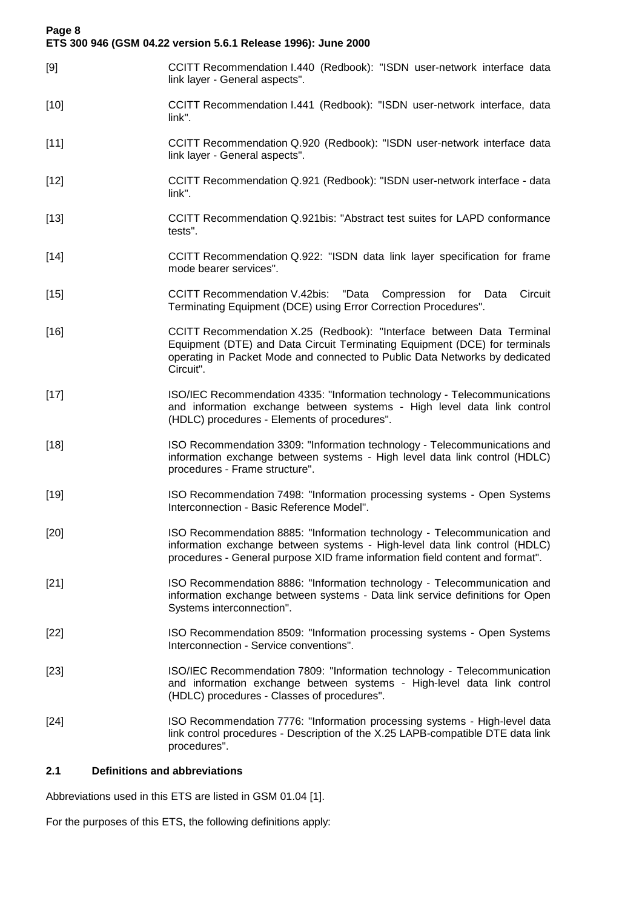| Page 8 | ETS 300 946 (GSM 04.22 version 5.6.1 Release 1996): June 2000                                                                                                                                                                                   |
|--------|-------------------------------------------------------------------------------------------------------------------------------------------------------------------------------------------------------------------------------------------------|
| [9]    | CCITT Recommendation I.440 (Redbook): "ISDN user-network interface data<br>link layer - General aspects".                                                                                                                                       |
| $[10]$ | CCITT Recommendation I.441 (Redbook): "ISDN user-network interface, data<br>link".                                                                                                                                                              |
| $[11]$ | CCITT Recommendation Q.920 (Redbook): "ISDN user-network interface data<br>link layer - General aspects".                                                                                                                                       |
| $[12]$ | CCITT Recommendation Q.921 (Redbook): "ISDN user-network interface - data<br>link".                                                                                                                                                             |
| $[13]$ | CCITT Recommendation Q.921bis: "Abstract test suites for LAPD conformance<br>tests".                                                                                                                                                            |
| $[14]$ | CCITT Recommendation Q.922: "ISDN data link layer specification for frame<br>mode bearer services".                                                                                                                                             |
| $[15]$ | "Data<br>Circuit<br><b>CCITT Recommendation V.42bis:</b><br>Compression for<br>Data<br>Terminating Equipment (DCE) using Error Correction Procedures".                                                                                          |
| $[16]$ | CCITT Recommendation X.25 (Redbook): "Interface between Data Terminal<br>Equipment (DTE) and Data Circuit Terminating Equipment (DCE) for terminals<br>operating in Packet Mode and connected to Public Data Networks by dedicated<br>Circuit". |
| $[17]$ | ISO/IEC Recommendation 4335: "Information technology - Telecommunications<br>and information exchange between systems - High level data link control<br>(HDLC) procedures - Elements of procedures".                                            |
| $[18]$ | ISO Recommendation 3309: "Information technology - Telecommunications and<br>information exchange between systems - High level data link control (HDLC)<br>procedures - Frame structure".                                                       |
| $[19]$ | ISO Recommendation 7498: "Information processing systems - Open Systems<br>Interconnection - Basic Reference Model".                                                                                                                            |
| $[20]$ | ISO Recommendation 8885: "Information technology - Telecommunication and<br>information exchange between systems - High-level data link control (HDLC)<br>procedures - General purpose XID frame information field content and format".         |
| $[21]$ | ISO Recommendation 8886: "Information technology - Telecommunication and<br>information exchange between systems - Data link service definitions for Open<br>Systems interconnection".                                                          |
| $[22]$ | ISO Recommendation 8509: "Information processing systems - Open Systems<br>Interconnection - Service conventions".                                                                                                                              |
| $[23]$ | ISO/IEC Recommendation 7809: "Information technology - Telecommunication<br>and information exchange between systems - High-level data link control<br>(HDLC) procedures - Classes of procedures".                                              |
| $[24]$ | ISO Recommendation 7776: "Information processing systems - High-level data<br>link control procedures - Description of the X.25 LAPB-compatible DTE data link<br>procedures".                                                                   |

# **2.1 Definitions and abbreviations**

Abbreviations used in this ETS are listed in GSM 01.04 [1].

For the purposes of this ETS, the following definitions apply: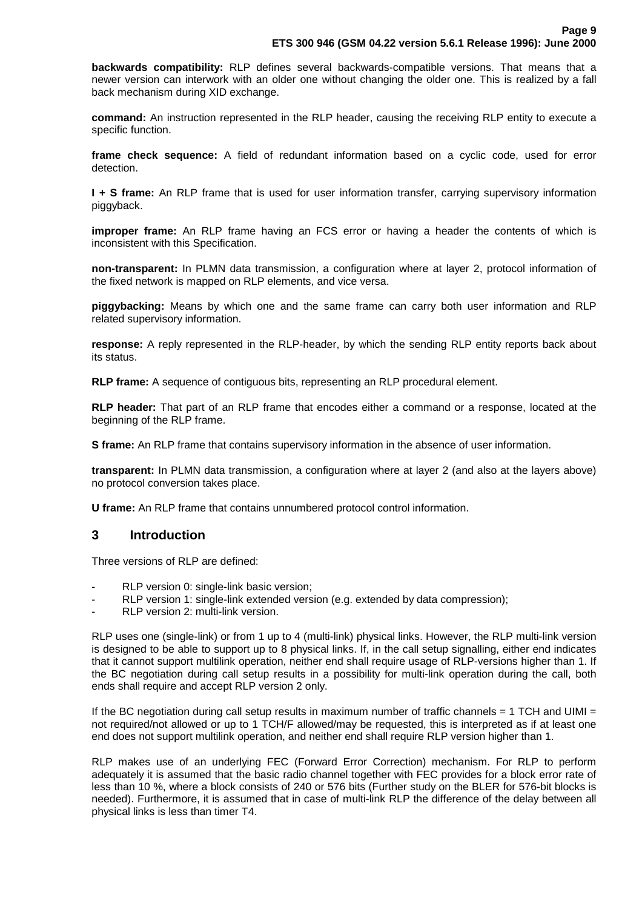**backwards compatibility:** RLP defines several backwards-compatible versions. That means that a newer version can interwork with an older one without changing the older one. This is realized by a fall back mechanism during XID exchange.

**command:** An instruction represented in the RLP header, causing the receiving RLP entity to execute a specific function.

**frame check sequence:** A field of redundant information based on a cyclic code, used for error detection.

**I + S frame:** An RLP frame that is used for user information transfer, carrying supervisory information piggyback.

**improper frame:** An RLP frame having an FCS error or having a header the contents of which is inconsistent with this Specification.

**non-transparent:** In PLMN data transmission, a configuration where at layer 2, protocol information of the fixed network is mapped on RLP elements, and vice versa.

**piggybacking:** Means by which one and the same frame can carry both user information and RLP related supervisory information.

**response:** A reply represented in the RLP-header, by which the sending RLP entity reports back about its status.

**RLP frame:** A sequence of contiguous bits, representing an RLP procedural element.

**RLP header:** That part of an RLP frame that encodes either a command or a response, located at the beginning of the RLP frame.

**S frame:** An RLP frame that contains supervisory information in the absence of user information.

**transparent:** In PLMN data transmission, a configuration where at layer 2 (and also at the layers above) no protocol conversion takes place.

**U frame:** An RLP frame that contains unnumbered protocol control information.

#### **3 Introduction**

Three versions of RLP are defined:

- RLP version 0: single-link basic version;
- RLP version 1: single-link extended version (e.g. extended by data compression);
- RLP version 2: multi-link version.

RLP uses one (single-link) or from 1 up to 4 (multi-link) physical links. However, the RLP multi-link version is designed to be able to support up to 8 physical links. If, in the call setup signalling, either end indicates that it cannot support multilink operation, neither end shall require usage of RLP-versions higher than 1. If the BC negotiation during call setup results in a possibility for multi-link operation during the call, both ends shall require and accept RLP version 2 only.

If the BC negotiation during call setup results in maximum number of traffic channels  $= 1$  TCH and UIMI  $=$ not required/not allowed or up to 1 TCH/F allowed/may be requested, this is interpreted as if at least one end does not support multilink operation, and neither end shall require RLP version higher than 1.

RLP makes use of an underlying FEC (Forward Error Correction) mechanism. For RLP to perform adequately it is assumed that the basic radio channel together with FEC provides for a block error rate of less than 10 %, where a block consists of 240 or 576 bits (Further study on the BLER for 576-bit blocks is needed). Furthermore, it is assumed that in case of multi-link RLP the difference of the delay between all physical links is less than timer T4.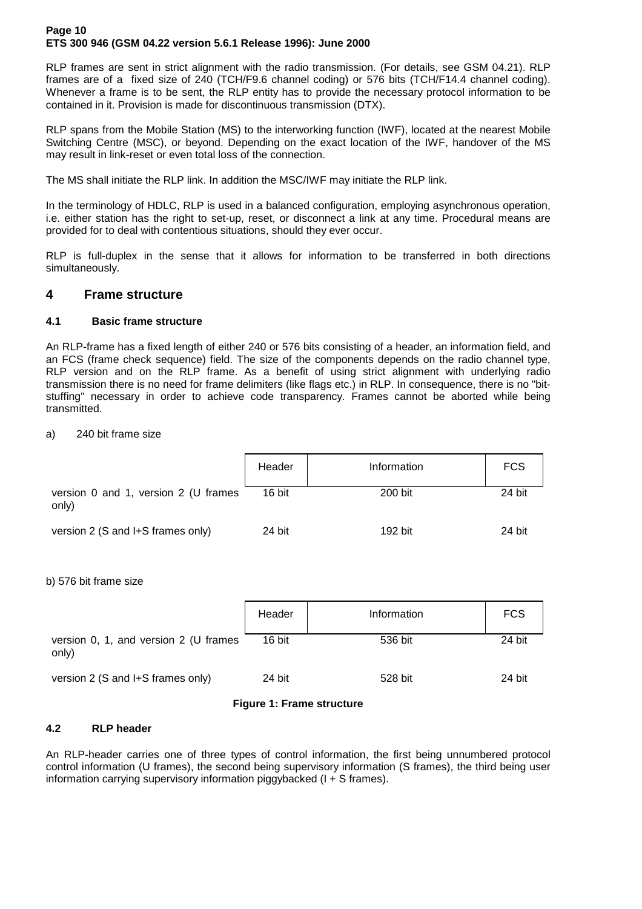## **Page 10 ETS 300 946 (GSM 04.22 version 5.6.1 Release 1996): June 2000**

RLP frames are sent in strict alignment with the radio transmission. (For details, see GSM 04.21). RLP frames are of a fixed size of 240 (TCH/F9.6 channel coding) or 576 bits (TCH/F14.4 channel coding). Whenever a frame is to be sent, the RLP entity has to provide the necessary protocol information to be contained in it. Provision is made for discontinuous transmission (DTX).

RLP spans from the Mobile Station (MS) to the interworking function (IWF), located at the nearest Mobile Switching Centre (MSC), or beyond. Depending on the exact location of the IWF, handover of the MS may result in link-reset or even total loss of the connection.

The MS shall initiate the RLP link. In addition the MSC/IWF may initiate the RLP link.

In the terminology of HDLC, RLP is used in a balanced configuration, employing asynchronous operation, i.e. either station has the right to set-up, reset, or disconnect a link at any time. Procedural means are provided for to deal with contentious situations, should they ever occur.

RLP is full-duplex in the sense that it allows for information to be transferred in both directions simultaneously.

# **4 Frame structure**

#### **4.1 Basic frame structure**

An RLP-frame has a fixed length of either 240 or 576 bits consisting of a header, an information field, and an FCS (frame check sequence) field. The size of the components depends on the radio channel type, RLP version and on the RLP frame. As a benefit of using strict alignment with underlying radio transmission there is no need for frame delimiters (like flags etc.) in RLP. In consequence, there is no "bitstuffing" necessary in order to achieve code transparency. Frames cannot be aborted while being transmitted.

#### a) 240 bit frame size

|                                               | Header | Information | <b>FCS</b> |
|-----------------------------------------------|--------|-------------|------------|
| version 0 and 1, version 2 (U frames<br>only) | 16 bit | 200 bit     | 24 bit     |
| version 2 (S and I+S frames only)             | 24 bit | 192 bit     | 24 bit     |

#### b) 576 bit frame size

|                                                | Header | Information | <b>FCS</b> |
|------------------------------------------------|--------|-------------|------------|
| version 0, 1, and version 2 (U frames<br>only) | 16 bit | 536 bit     | 24 bit     |
| version 2 (S and I+S frames only)              | 24 bit | 528 bit     | 24 bit     |

# **Figure 1: Frame structure**

#### **4.2 RLP header**

An RLP-header carries one of three types of control information, the first being unnumbered protocol control information (U frames), the second being supervisory information (S frames), the third being user information carrying supervisory information piggybacked (I + S frames).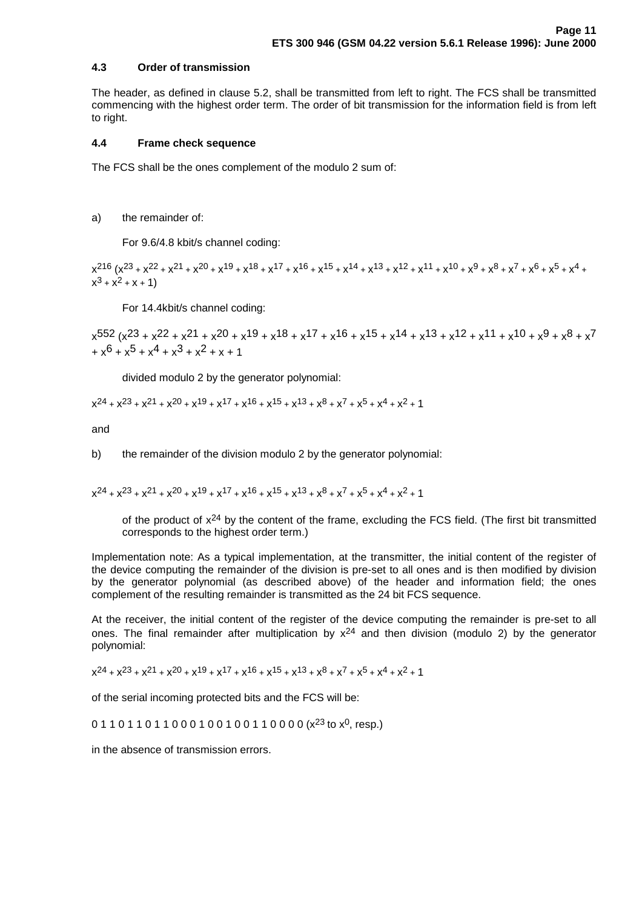#### **4.3 Order of transmission**

The header, as defined in clause 5.2, shall be transmitted from left to right. The FCS shall be transmitted commencing with the highest order term. The order of bit transmission for the information field is from left to right.

#### **4.4 Frame check sequence**

The FCS shall be the ones complement of the modulo 2 sum of:

a) the remainder of:

For 9.6/4.8 kbit/s channel coding:

x216 (x23 + x22 + x21 + x20 + x19 + x18 + x17 + x16 + x15 + x14 + x13 + x12 + x11 + x10 + x9 + x8 + x7 + x6 + x5 + x4 +  $x^3 + x^2 + x + 1$ 

For 14.4kbit/s channel coding:

 $x^{552}$  ( $x^{23}$  +  $x^{22}$  +  $x^{21}$  +  $x^{20}$  +  $x^{19}$  +  $x^{18}$  +  $x^{17}$  +  $x^{16}$  +  $x^{15}$  +  $x^{14}$  +  $x^{13}$  +  $x^{12}$  +  $x^{11}$  +  $x^{10}$  +  $x^{9}$  +  $x^{8}$  +  $x^{7}$  $+x^{6} + x^{5} + x^{4} + x^{3} + x^{2} + x + 1$ 

divided modulo 2 by the generator polynomial:

 $x^{24} + x^{23} + x^{21} + x^{20} + x^{19} + x^{17} + x^{16} + x^{15} + x^{13} + x^{8} + x^{7} + x^{5} + x^{4} + x^{2} + 1$ 

and

b) the remainder of the division modulo 2 by the generator polynomial:

 $x^{24} + x^{23} + x^{21} + x^{20} + x^{19} + x^{17} + x^{16} + x^{15} + x^{13} + x^{8} + x^{7} + x^{5} + x^{4} + x^{2} + 1$ 

of the product of  $x^{24}$  by the content of the frame, excluding the FCS field. (The first bit transmitted corresponds to the highest order term.)

Implementation note: As a typical implementation, at the transmitter, the initial content of the register of the device computing the remainder of the division is pre-set to all ones and is then modified by division by the generator polynomial (as described above) of the header and information field; the ones complement of the resulting remainder is transmitted as the 24 bit FCS sequence.

At the receiver, the initial content of the register of the device computing the remainder is pre-set to all ones. The final remainder after multiplication by  $x^{24}$  and then division (modulo 2) by the generator polynomial:

 $x^{24} + x^{23} + x^{21} + x^{20} + x^{19} + x^{17} + x^{16} + x^{15} + x^{13} + x^{8} + x^{7} + x^{5} + x^{4} + x^{2} + 1$ 

of the serial incoming protected bits and the FCS will be:

 $0 1 1 0 1 1 0 1 1 0 0 0 1 0 0 1 0 0 1 1 0 0 0 0 (x<sup>23</sup>$  to  $x<sup>0</sup>$ , resp.)

in the absence of transmission errors.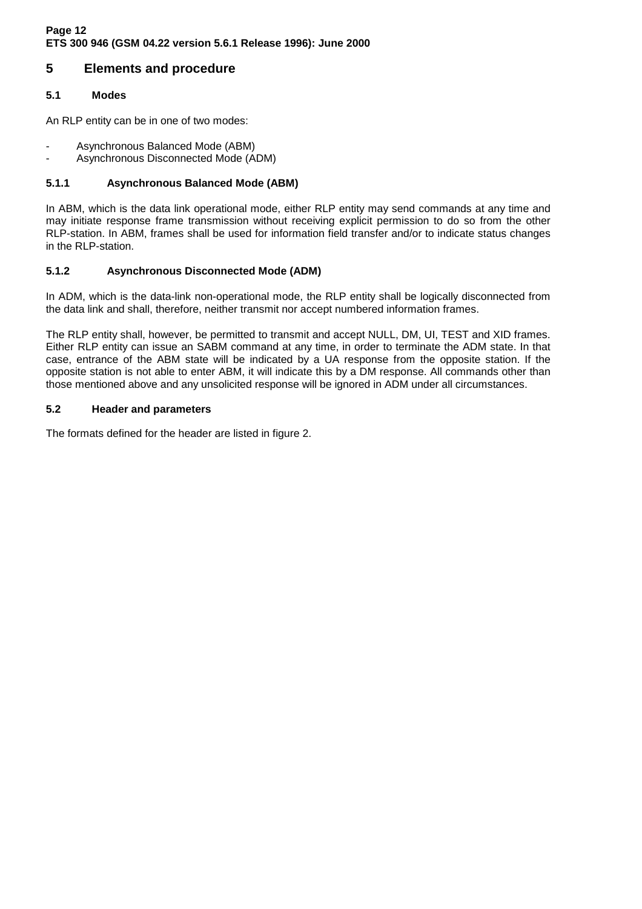# **Page 12 ETS 300 946 (GSM 04.22 version 5.6.1 Release 1996): June 2000**

# **5 Elements and procedure**

#### **5.1 Modes**

An RLP entity can be in one of two modes:

- Asynchronous Balanced Mode (ABM)
- Asynchronous Disconnected Mode (ADM)

#### **5.1.1 Asynchronous Balanced Mode (ABM)**

In ABM, which is the data link operational mode, either RLP entity may send commands at any time and may initiate response frame transmission without receiving explicit permission to do so from the other RLP-station. In ABM, frames shall be used for information field transfer and/or to indicate status changes in the RLP-station.

#### **5.1.2 Asynchronous Disconnected Mode (ADM)**

In ADM, which is the data-link non-operational mode, the RLP entity shall be logically disconnected from the data link and shall, therefore, neither transmit nor accept numbered information frames.

The RLP entity shall, however, be permitted to transmit and accept NULL, DM, UI, TEST and XID frames. Either RLP entity can issue an SABM command at any time, in order to terminate the ADM state. In that case, entrance of the ABM state will be indicated by a UA response from the opposite station. If the opposite station is not able to enter ABM, it will indicate this by a DM response. All commands other than those mentioned above and any unsolicited response will be ignored in ADM under all circumstances.

#### **5.2 Header and parameters**

The formats defined for the header are listed in figure 2.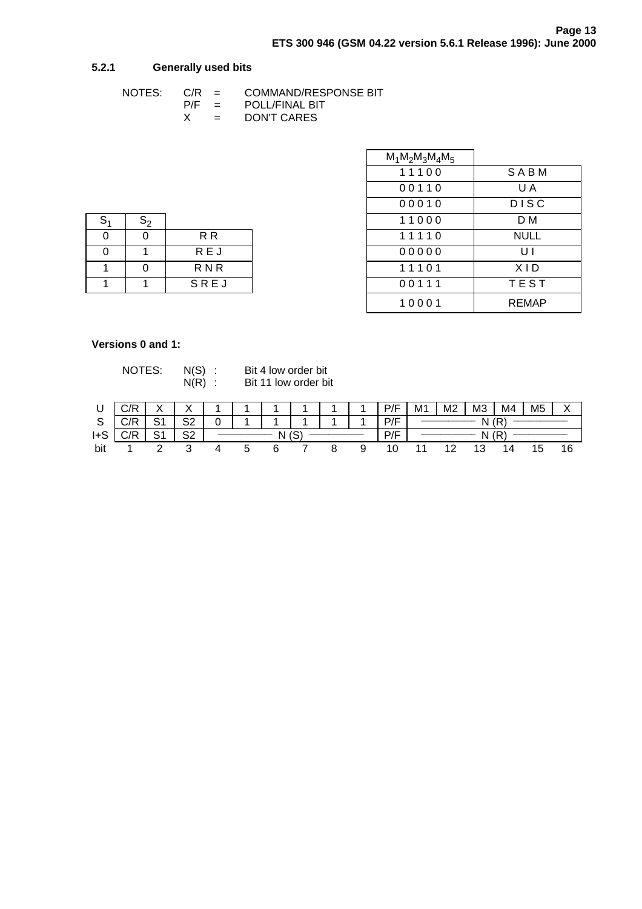#### **5.2.1 Generally used bits**

| NOTES: | C/R     | $=$               | <b>COMMAND/RESPONSE BIT</b> |
|--------|---------|-------------------|-----------------------------|
|        | $P/F =$ |                   | <b>POLL/FINAL BIT</b>       |
|        |         | $\equiv$ $\equiv$ | DON'T CARES                 |

|                |          |            | $M_1M_2M_3M_4M_5$ |              |
|----------------|----------|------------|-------------------|--------------|
|                |          |            | 11100             | SABM         |
|                |          |            | 00110             | U A          |
|                |          |            | 00010             | <b>DISC</b>  |
| $\mathsf{S}_1$ | $S_2$    |            | 11000             | D M          |
| 0              | $\Omega$ | R R        | 11110             | <b>NULL</b>  |
| 0              | 1        | <b>REJ</b> | 00000             | UI           |
| 1              | 0        | <b>RNR</b> | 11101             | XID          |
| 1              | 1        | SREJ       | 00111             | TEST         |
|                |          |            | 10001             | <b>REMAP</b> |

| S | $S_{2}$ |            |  |  |  |  |
|---|---------|------------|--|--|--|--|
|   |         | R R        |  |  |  |  |
|   |         | <b>REJ</b> |  |  |  |  |
|   |         | R N R      |  |  |  |  |
|   |         | SREJ       |  |  |  |  |

#### **Versions 0 and 1:**

NOTES: N(S) : Bit 4 low order bit<br>N(R) : Bit 11 low order bi Bit 11 low order bit

|     | C/R | v<br>∧   |          |  |              |  | P/F | M1 | M <sub>2</sub> | MЗ | M4 | M <sub>5</sub> |    |
|-----|-----|----------|----------|--|--------------|--|-----|----|----------------|----|----|----------------|----|
| ັ   | C/R | ິ<br>ا ب | c0<br>ےت |  |              |  | P/F | N  |                |    |    |                |    |
| 1+S | C/R | ິ<br>ا ب | c0<br>ےت |  | $\sim$<br>د١ |  | P/F | N  |                |    |    |                |    |
| bit |     |          |          |  |              |  |     |    |                |    |    | 15             | 16 |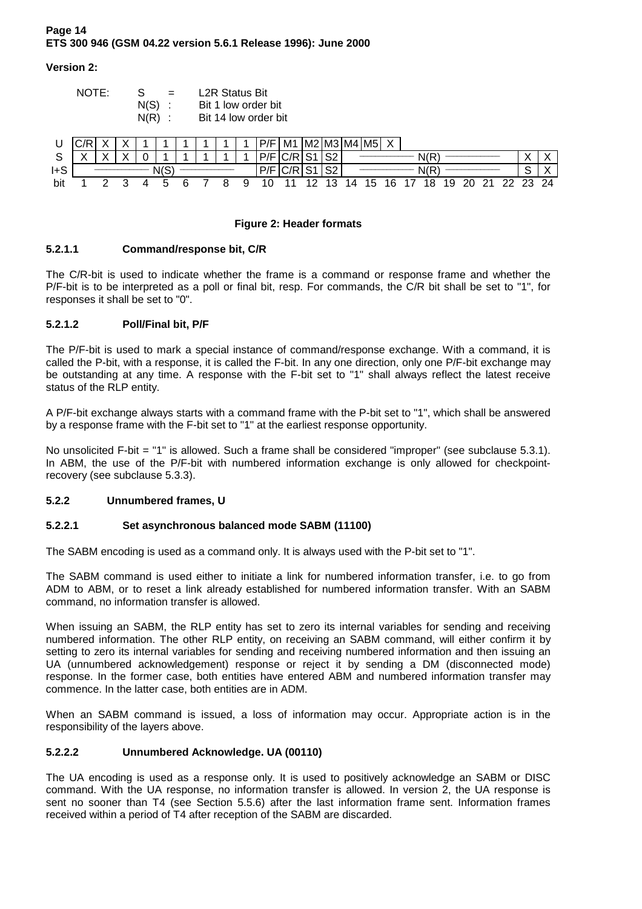#### **Page 14 ETS 300 946 (GSM 04.22 version 5.6.1 Release 1996): June 2000**

#### **Version 2:**

|     | NOTE:<br>L2R Status Bit<br>N(S)<br>Bit 1 low order bit<br>$N(R)$ :<br>Bit 14 low order bit |  |  |   |      |  |  |  |   |     |                          |     |                |    |       |          |     |      |  |                   |   |   |
|-----|--------------------------------------------------------------------------------------------|--|--|---|------|--|--|--|---|-----|--------------------------|-----|----------------|----|-------|----------|-----|------|--|-------------------|---|---|
|     | C/F                                                                                        |  |  |   |      |  |  |  |   | P/F | $M1$   M2   M3   M4   M5 |     |                |    |       | $\times$ |     |      |  |                   |   |   |
| -S  |                                                                                            |  |  | 0 |      |  |  |  |   | P/F | C/R                      | -S1 | S <sub>2</sub> |    |       |          |     | N(R  |  |                   | ⋏ | ⌒ |
| I+S |                                                                                            |  |  |   | N(S) |  |  |  |   |     | P/F C/R S1               |     | S2             |    |       |          |     | N(R) |  |                   | S | ∧ |
| bit |                                                                                            |  |  |   | 5    |  |  |  | 9 | 10  |                          | 12  | 13             | 14 | 15 16 |          | -17 | 18   |  | 19 20 21 22 23 24 |   |   |

#### **Figure 2: Header formats**

#### **5.2.1.1 Command/response bit, C/R**

The C/R-bit is used to indicate whether the frame is a command or response frame and whether the P/F-bit is to be interpreted as a poll or final bit, resp. For commands, the C/R bit shall be set to "1", for responses it shall be set to "0".

#### **5.2.1.2 Poll/Final bit, P/F**

The P/F-bit is used to mark a special instance of command/response exchange. With a command, it is called the P-bit, with a response, it is called the F-bit. In any one direction, only one P/F-bit exchange may be outstanding at any time. A response with the F-bit set to "1" shall always reflect the latest receive status of the RLP entity.

A P/F-bit exchange always starts with a command frame with the P-bit set to "1", which shall be answered by a response frame with the F-bit set to "1" at the earliest response opportunity.

No unsolicited F-bit = "1" is allowed. Such a frame shall be considered "improper" (see subclause 5.3.1). In ABM, the use of the P/F-bit with numbered information exchange is only allowed for checkpointrecovery (see subclause 5.3.3).

#### **5.2.2 Unnumbered frames, U**

#### **5.2.2.1 Set asynchronous balanced mode SABM (11100)**

The SABM encoding is used as a command only. It is always used with the P-bit set to "1".

The SABM command is used either to initiate a link for numbered information transfer, i.e. to go from ADM to ABM, or to reset a link already established for numbered information transfer. With an SABM command, no information transfer is allowed.

When issuing an SABM, the RLP entity has set to zero its internal variables for sending and receiving numbered information. The other RLP entity, on receiving an SABM command, will either confirm it by setting to zero its internal variables for sending and receiving numbered information and then issuing an UA (unnumbered acknowledgement) response or reject it by sending a DM (disconnected mode) response. In the former case, both entities have entered ABM and numbered information transfer may commence. In the latter case, both entities are in ADM.

When an SABM command is issued, a loss of information may occur. Appropriate action is in the responsibility of the layers above.

## **5.2.2.2 Unnumbered Acknowledge. UA (00110)**

The UA encoding is used as a response only. It is used to positively acknowledge an SABM or DISC command. With the UA response, no information transfer is allowed. In version 2, the UA response is sent no sooner than T4 (see Section 5.5.6) after the last information frame sent. Information frames received within a period of T4 after reception of the SABM are discarded.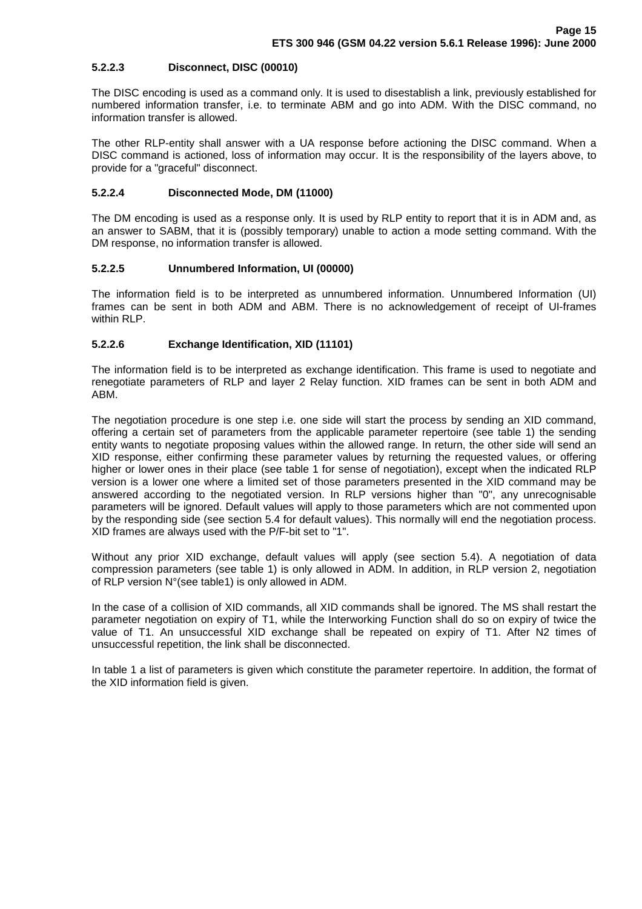#### **5.2.2.3 Disconnect, DISC (00010)**

The DISC encoding is used as a command only. It is used to disestablish a link, previously established for numbered information transfer, i.e. to terminate ABM and go into ADM. With the DISC command, no information transfer is allowed.

The other RLP-entity shall answer with a UA response before actioning the DISC command. When a DISC command is actioned, loss of information may occur. It is the responsibility of the layers above, to provide for a "graceful" disconnect.

#### **5.2.2.4 Disconnected Mode, DM (11000)**

The DM encoding is used as a response only. It is used by RLP entity to report that it is in ADM and, as an answer to SABM, that it is (possibly temporary) unable to action a mode setting command. With the DM response, no information transfer is allowed.

#### **5.2.2.5 Unnumbered Information, UI (00000)**

The information field is to be interpreted as unnumbered information. Unnumbered Information (UI) frames can be sent in both ADM and ABM. There is no acknowledgement of receipt of UI-frames within RLP.

#### **5.2.2.6 Exchange Identification, XID (11101)**

The information field is to be interpreted as exchange identification. This frame is used to negotiate and renegotiate parameters of RLP and layer 2 Relay function. XID frames can be sent in both ADM and ABM.

The negotiation procedure is one step i.e. one side will start the process by sending an XID command, offering a certain set of parameters from the applicable parameter repertoire (see table 1) the sending entity wants to negotiate proposing values within the allowed range. In return, the other side will send an XID response, either confirming these parameter values by returning the requested values, or offering higher or lower ones in their place (see table 1 for sense of negotiation), except when the indicated RLP version is a lower one where a limited set of those parameters presented in the XID command may be answered according to the negotiated version. In RLP versions higher than "0", any unrecognisable parameters will be ignored. Default values will apply to those parameters which are not commented upon by the responding side (see section 5.4 for default values). This normally will end the negotiation process. XID frames are always used with the P/F-bit set to "1".

Without any prior XID exchange, default values will apply (see section 5.4). A negotiation of data compression parameters (see table 1) is only allowed in ADM. In addition, in RLP version 2, negotiation of RLP version N°(see table1) is only allowed in ADM.

In the case of a collision of XID commands, all XID commands shall be ignored. The MS shall restart the parameter negotiation on expiry of T1, while the Interworking Function shall do so on expiry of twice the value of T1. An unsuccessful XID exchange shall be repeated on expiry of T1. After N2 times of unsuccessful repetition, the link shall be disconnected.

In table 1 a list of parameters is given which constitute the parameter repertoire. In addition, the format of the XID information field is given.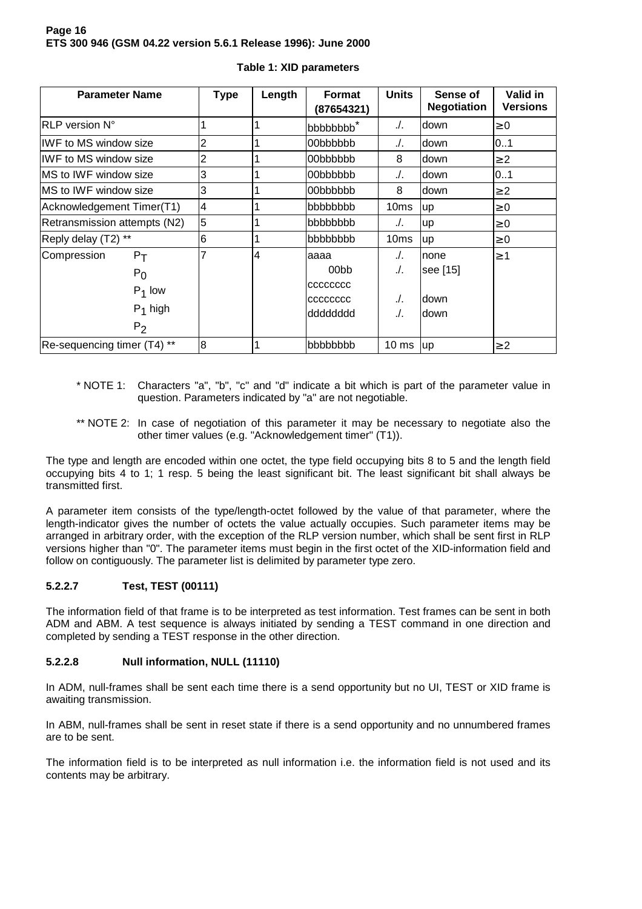#### **Page 16 ETS 300 946 (GSM 04.22 version 5.6.1 Release 1996): June 2000**

| <b>Parameter Name</b>        |                                                             | <b>Type</b>     | Length | <b>Format</b><br>(87654321)                                        | <b>Units</b>             | Sense of<br><b>Negotiation</b>      | Valid in<br><b>Versions</b> |  |
|------------------------------|-------------------------------------------------------------|-----------------|--------|--------------------------------------------------------------------|--------------------------|-------------------------------------|-----------------------------|--|
| RLP version N°               |                                                             |                 |        | bbbbbbbb <sup>*</sup>                                              | down<br>./.              |                                     |                             |  |
| <b>IWF to MS window size</b> |                                                             | 2               |        | 00bbbbbb                                                           | ./.                      | down                                | 0.1                         |  |
| <b>IWF to MS window size</b> |                                                             | 2               |        | 00bbbbbb                                                           | 8                        | down                                | $\geq$ 2                    |  |
| IMS to IWF window size       |                                                             | 3               |        | 00bbbbbb                                                           | ./.                      | down                                | 0.1                         |  |
| IMS to IWF window size       |                                                             | 3               |        | 00bbbbbb                                                           | 8                        | down                                | $\geq$ 2                    |  |
| Acknowledgement Timer(T1)    |                                                             | 4               |        | bbbbbbb                                                            | 10 <sub>ms</sub>         | up                                  | $\geq 0$                    |  |
| Retransmission attempts (N2) |                                                             | 5               |        | bbbbbbbb                                                           | ./.                      | up                                  | $\geq 0$                    |  |
| Reply delay (T2) **          |                                                             | $6\phantom{.}6$ |        | bbbbbbb                                                            | 10 <sub>ms</sub><br>up   |                                     | $\geq 0$                    |  |
| Compression                  | $P_T$<br>$P_0$<br>$P_1$ low<br>$P_1$ high<br>P <sub>2</sub> | 4               |        | aaaa<br>00 <sub>b</sub><br><b>CCCCCCCC</b><br>CCCCCCCC<br>dddddddd | ./.<br>./.<br>./.<br>./. | none<br>see $[15]$<br>down<br>ldown | $\geq 1$                    |  |
| Re-sequencing timer (T4) **  |                                                             | 8               | 1      | bbbbbbbb                                                           | 10 <sub>ms</sub>         | <b>up</b>                           | $\geq$ 2                    |  |

#### **Table 1: XID parameters**

- \* NOTE 1: Characters "a", "b", "c" and "d" indicate a bit which is part of the parameter value in question. Parameters indicated by "a" are not negotiable.
- \*\* NOTE 2: In case of negotiation of this parameter it may be necessary to negotiate also the other timer values (e.g. "Acknowledgement timer" (T1)).

The type and length are encoded within one octet, the type field occupying bits 8 to 5 and the length field occupying bits 4 to 1; 1 resp. 5 being the least significant bit. The least significant bit shall always be transmitted first.

A parameter item consists of the type/length-octet followed by the value of that parameter, where the length-indicator gives the number of octets the value actually occupies. Such parameter items may be arranged in arbitrary order, with the exception of the RLP version number, which shall be sent first in RLP versions higher than "0". The parameter items must begin in the first octet of the XID-information field and follow on contiguously. The parameter list is delimited by parameter type zero.

# **5.2.2.7 Test, TEST (00111)**

The information field of that frame is to be interpreted as test information. Test frames can be sent in both ADM and ABM. A test sequence is always initiated by sending a TEST command in one direction and completed by sending a TEST response in the other direction.

#### **5.2.2.8 Null information, NULL (11110)**

In ADM, null-frames shall be sent each time there is a send opportunity but no UI, TEST or XID frame is awaiting transmission.

In ABM, null-frames shall be sent in reset state if there is a send opportunity and no unnumbered frames are to be sent.

The information field is to be interpreted as null information i.e. the information field is not used and its contents may be arbitrary.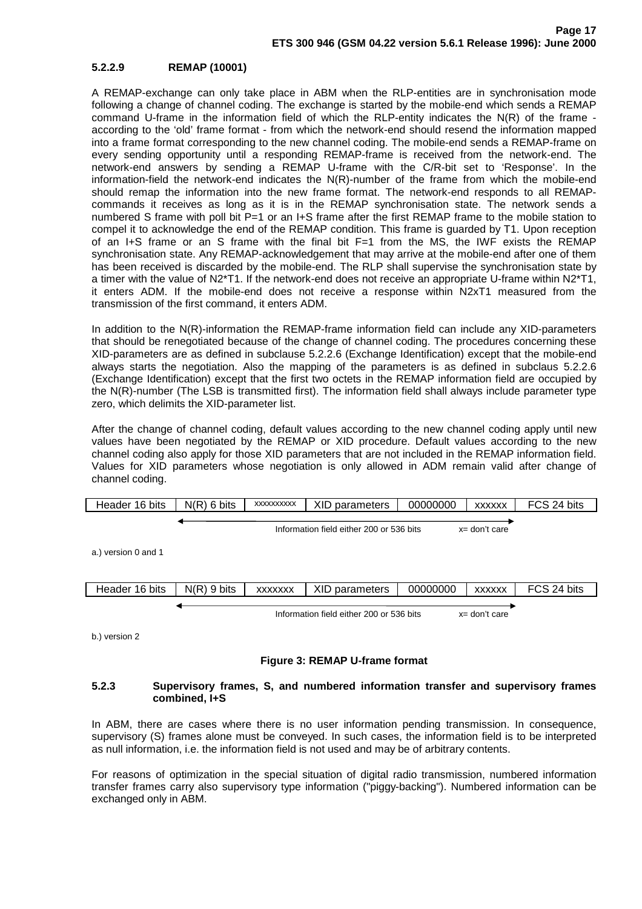#### **5.2.2.9 REMAP (10001)**

A REMAP-exchange can only take place in ABM when the RLP-entities are in synchronisation mode following a change of channel coding. The exchange is started by the mobile-end which sends a REMAP command U-frame in the information field of which the RLP-entity indicates the N(R) of the frame according to the 'old' frame format - from which the network-end should resend the information mapped into a frame format corresponding to the new channel coding. The mobile-end sends a REMAP-frame on every sending opportunity until a responding REMAP-frame is received from the network-end. The network-end answers by sending a REMAP U-frame with the C/R-bit set to 'Response'. In the information-field the network-end indicates the N(R)-number of the frame from which the mobile-end should remap the information into the new frame format. The network-end responds to all REMAPcommands it receives as long as it is in the REMAP synchronisation state. The network sends a numbered S frame with poll bit P=1 or an I+S frame after the first REMAP frame to the mobile station to compel it to acknowledge the end of the REMAP condition. This frame is guarded by T1. Upon reception of an I+S frame or an S frame with the final bit F=1 from the MS, the IWF exists the REMAP synchronisation state. Any REMAP-acknowledgement that may arrive at the mobile-end after one of them has been received is discarded by the mobile-end. The RLP shall supervise the synchronisation state by a timer with the value of N2\*T1. If the network-end does not receive an appropriate U-frame within N2\*T1, it enters ADM. If the mobile-end does not receive a response within N2xT1 measured from the transmission of the first command, it enters ADM.

In addition to the N(R)-information the REMAP-frame information field can include any XID-parameters that should be renegotiated because of the change of channel coding. The procedures concerning these XID-parameters are as defined in subclause 5.2.2.6 (Exchange Identification) except that the mobile-end always starts the negotiation. Also the mapping of the parameters is as defined in subclaus 5.2.2.6 (Exchange Identification) except that the first two octets in the REMAP information field are occupied by the N(R)-number (The LSB is transmitted first). The information field shall always include parameter type zero, which delimits the XID-parameter list.

After the change of channel coding, default values according to the new channel coding apply until new values have been negotiated by the REMAP or XID procedure. Default values according to the new channel coding also apply for those XID parameters that are not included in the REMAP information field. Values for XID parameters whose negotiation is only allowed in ADM remain valid after change of channel coding.

| Header 16 bits      | $N(R)$ 6 bits                                                | <b>XXXXXXXXXX</b> | XID parameters                           | 00000000 | <b>XXXXXX</b>    | FCS 24 bits |
|---------------------|--------------------------------------------------------------|-------------------|------------------------------------------|----------|------------------|-------------|
|                     |                                                              |                   |                                          |          |                  |             |
|                     |                                                              |                   | Information field either 200 or 536 bits |          | $x = don't care$ |             |
|                     |                                                              |                   |                                          |          |                  |             |
| a.) version 0 and 1 |                                                              |                   |                                          |          |                  |             |
|                     |                                                              |                   |                                          |          |                  |             |
|                     |                                                              |                   |                                          |          |                  |             |
| Header 16 bits      | $N(R)$ 9 bits                                                | <b>XXXXXXX</b>    | XID parameters                           | 00000000 | <b>XXXXXX</b>    | FCS 24 bits |
|                     |                                                              |                   |                                          |          |                  |             |
|                     | Information field either 200 or 536 bits<br>$x = don't care$ |                   |                                          |          |                  |             |
|                     |                                                              |                   |                                          |          |                  |             |
| .                   |                                                              |                   |                                          |          |                  |             |

b.) version 2

#### **Figure 3: REMAP U-frame format**

#### **5.2.3 Supervisory frames, S, and numbered information transfer and supervisory frames combined, I+S**

In ABM, there are cases where there is no user information pending transmission. In consequence, supervisory (S) frames alone must be conveyed. In such cases, the information field is to be interpreted as null information, i.e. the information field is not used and may be of arbitrary contents.

For reasons of optimization in the special situation of digital radio transmission, numbered information transfer frames carry also supervisory type information ("piggy-backing"). Numbered information can be exchanged only in ABM.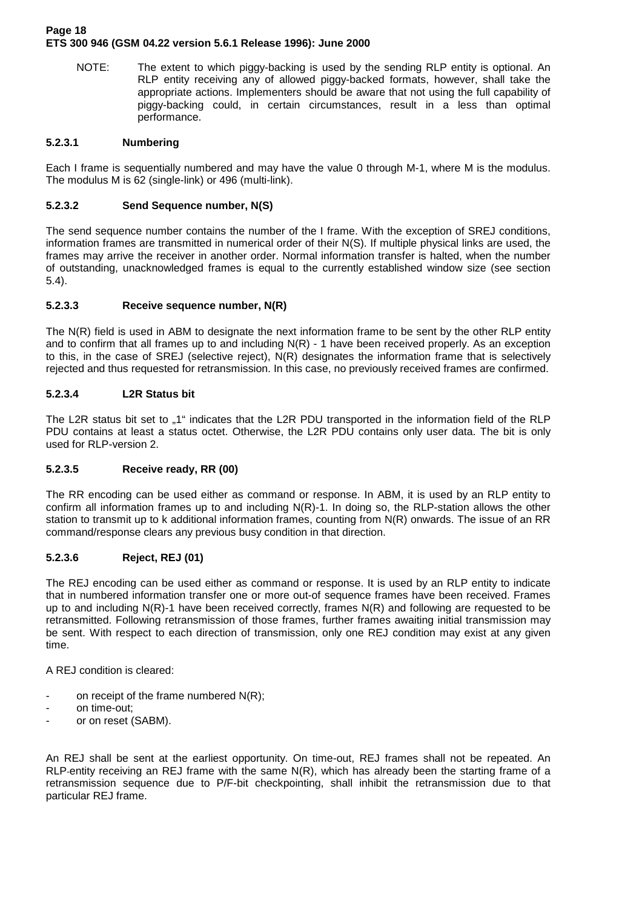## **Page 18 ETS 300 946 (GSM 04.22 version 5.6.1 Release 1996): June 2000**

NOTE: The extent to which piggy-backing is used by the sending RLP entity is optional. An RLP entity receiving any of allowed piggy-backed formats, however, shall take the appropriate actions. Implementers should be aware that not using the full capability of piggy-backing could, in certain circumstances, result in a less than optimal performance.

#### **5.2.3.1 Numbering**

Each I frame is sequentially numbered and may have the value 0 through M-1, where M is the modulus. The modulus M is 62 (single-link) or 496 (multi-link).

#### **5.2.3.2 Send Sequence number, N(S)**

The send sequence number contains the number of the I frame. With the exception of SREJ conditions, information frames are transmitted in numerical order of their N(S). If multiple physical links are used, the frames may arrive the receiver in another order. Normal information transfer is halted, when the number of outstanding, unacknowledged frames is equal to the currently established window size (see section 5.4).

#### **5.2.3.3 Receive sequence number, N(R)**

The N(R) field is used in ABM to designate the next information frame to be sent by the other RLP entity and to confirm that all frames up to and including N(R) - 1 have been received properly. As an exception to this, in the case of SREJ (selective reject), N(R) designates the information frame that is selectively rejected and thus requested for retransmission. In this case, no previously received frames are confirmed.

#### **5.2.3.4 L2R Status bit**

The L2R status bit set to "1" indicates that the L2R PDU transported in the information field of the RLP PDU contains at least a status octet. Otherwise, the L2R PDU contains only user data. The bit is only used for RLP-version 2.

# **5.2.3.5 Receive ready, RR (00)**

The RR encoding can be used either as command or response. In ABM, it is used by an RLP entity to confirm all information frames up to and including N(R)-1. In doing so, the RLP-station allows the other station to transmit up to k additional information frames, counting from N(R) onwards. The issue of an RR command/response clears any previous busy condition in that direction.

# **5.2.3.6 Reject, REJ (01)**

The REJ encoding can be used either as command or response. It is used by an RLP entity to indicate that in numbered information transfer one or more out-of sequence frames have been received. Frames up to and including N(R)-1 have been received correctly, frames N(R) and following are requested to be retransmitted. Following retransmission of those frames, further frames awaiting initial transmission may be sent. With respect to each direction of transmission, only one REJ condition may exist at any given time.

A REJ condition is cleared:

- on receipt of the frame numbered  $N(R)$ ;
- on time-out;
- or on reset (SABM).

An REJ shall be sent at the earliest opportunity. On time-out, REJ frames shall not be repeated. An RLP-entity receiving an REJ frame with the same N(R), which has already been the starting frame of a retransmission sequence due to P/F-bit checkpointing, shall inhibit the retransmission due to that particular REJ frame.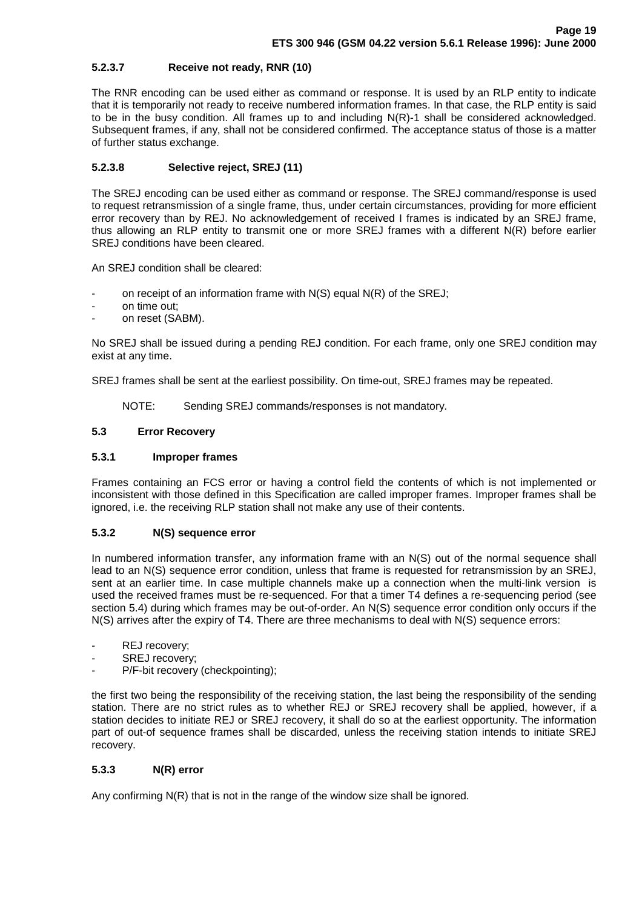#### **5.2.3.7 Receive not ready, RNR (10)**

The RNR encoding can be used either as command or response. It is used by an RLP entity to indicate that it is temporarily not ready to receive numbered information frames. In that case, the RLP entity is said to be in the busy condition. All frames up to and including N(R)-1 shall be considered acknowledged. Subsequent frames, if any, shall not be considered confirmed. The acceptance status of those is a matter of further status exchange.

#### **5.2.3.8 Selective reject, SREJ (11)**

The SREJ encoding can be used either as command or response. The SREJ command/response is used to request retransmission of a single frame, thus, under certain circumstances, providing for more efficient error recovery than by REJ. No acknowledgement of received I frames is indicated by an SREJ frame, thus allowing an RLP entity to transmit one or more SREJ frames with a different N(R) before earlier SREJ conditions have been cleared.

An SREJ condition shall be cleared:

- on receipt of an information frame with N(S) equal N(R) of the SREJ;
- on time out:
- on reset (SABM).

No SREJ shall be issued during a pending REJ condition. For each frame, only one SREJ condition may exist at any time.

SREJ frames shall be sent at the earliest possibility. On time-out, SREJ frames may be repeated.

NOTE: Sending SREJ commands/responses is not mandatory.

#### **5.3 Error Recovery**

#### **5.3.1 Improper frames**

Frames containing an FCS error or having a control field the contents of which is not implemented or inconsistent with those defined in this Specification are called improper frames. Improper frames shall be ignored, i.e. the receiving RLP station shall not make any use of their contents.

#### **5.3.2 N(S) sequence error**

In numbered information transfer, any information frame with an N(S) out of the normal sequence shall lead to an N(S) sequence error condition, unless that frame is requested for retransmission by an SREJ, sent at an earlier time. In case multiple channels make up a connection when the multi-link version is used the received frames must be re-sequenced. For that a timer T4 defines a re-sequencing period (see section 5.4) during which frames may be out-of-order. An N(S) sequence error condition only occurs if the N(S) arrives after the expiry of T4. There are three mechanisms to deal with N(S) sequence errors:

- REJ recoverv:
- SREJ recovery;
- P/F-bit recovery (checkpointing);

the first two being the responsibility of the receiving station, the last being the responsibility of the sending station. There are no strict rules as to whether REJ or SREJ recovery shall be applied, however, if a station decides to initiate REJ or SREJ recovery, it shall do so at the earliest opportunity. The information part of out-of sequence frames shall be discarded, unless the receiving station intends to initiate SREJ recovery.

#### **5.3.3 N(R) error**

Any confirming N(R) that is not in the range of the window size shall be ignored.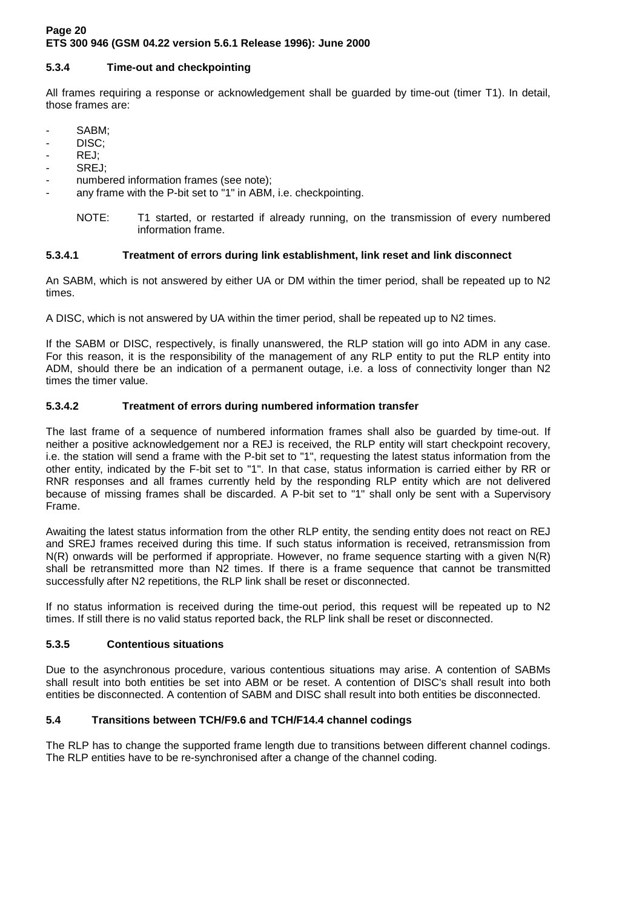#### **5.3.4 Time-out and checkpointing**

All frames requiring a response or acknowledgement shall be guarded by time-out (timer T1). In detail, those frames are:

- SABM:
- DISC:
- REJ;
- SREJ:
- numbered information frames (see note);
- any frame with the P-bit set to "1" in ABM, i.e. checkpointing.

NOTE: T1 started, or restarted if already running, on the transmission of every numbered information frame.

#### **5.3.4.1 Treatment of errors during link establishment, link reset and link disconnect**

An SABM, which is not answered by either UA or DM within the timer period, shall be repeated up to N2 times.

A DISC, which is not answered by UA within the timer period, shall be repeated up to N2 times.

If the SABM or DISC, respectively, is finally unanswered, the RLP station will go into ADM in any case. For this reason, it is the responsibility of the management of any RLP entity to put the RLP entity into ADM, should there be an indication of a permanent outage, i.e. a loss of connectivity longer than N2 times the timer value.

#### **5.3.4.2 Treatment of errors during numbered information transfer**

The last frame of a sequence of numbered information frames shall also be guarded by time-out. If neither a positive acknowledgement nor a REJ is received, the RLP entity will start checkpoint recovery, i.e. the station will send a frame with the P-bit set to "1", requesting the latest status information from the other entity, indicated by the F-bit set to "1". In that case, status information is carried either by RR or RNR responses and all frames currently held by the responding RLP entity which are not delivered because of missing frames shall be discarded. A P-bit set to "1" shall only be sent with a Supervisory Frame.

Awaiting the latest status information from the other RLP entity, the sending entity does not react on REJ and SREJ frames received during this time. If such status information is received, retransmission from N(R) onwards will be performed if appropriate. However, no frame sequence starting with a given N(R) shall be retransmitted more than N2 times. If there is a frame sequence that cannot be transmitted successfully after N2 repetitions, the RLP link shall be reset or disconnected.

If no status information is received during the time-out period, this request will be repeated up to N2 times. If still there is no valid status reported back, the RLP link shall be reset or disconnected.

#### **5.3.5 Contentious situations**

Due to the asynchronous procedure, various contentious situations may arise. A contention of SABMs shall result into both entities be set into ABM or be reset. A contention of DISC's shall result into both entities be disconnected. A contention of SABM and DISC shall result into both entities be disconnected.

#### **5.4 Transitions between TCH/F9.6 and TCH/F14.4 channel codings**

The RLP has to change the supported frame length due to transitions between different channel codings. The RLP entities have to be re-synchronised after a change of the channel coding.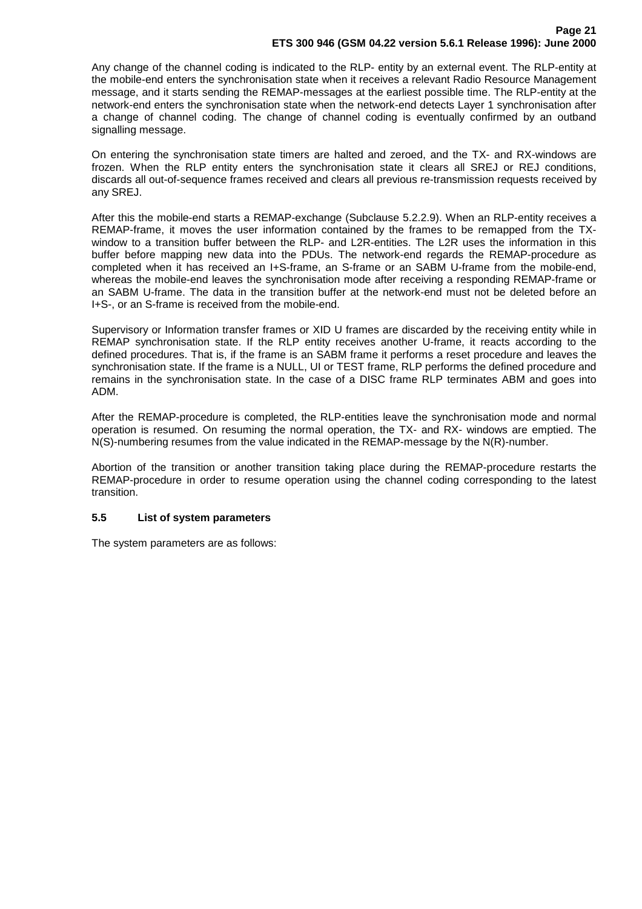Any change of the channel coding is indicated to the RLP- entity by an external event. The RLP-entity at the mobile-end enters the synchronisation state when it receives a relevant Radio Resource Management message, and it starts sending the REMAP-messages at the earliest possible time. The RLP-entity at the network-end enters the synchronisation state when the network-end detects Layer 1 synchronisation after a change of channel coding. The change of channel coding is eventually confirmed by an outband signalling message.

On entering the synchronisation state timers are halted and zeroed, and the TX- and RX-windows are frozen. When the RLP entity enters the synchronisation state it clears all SREJ or REJ conditions, discards all out-of-sequence frames received and clears all previous re-transmission requests received by any SREJ.

After this the mobile-end starts a REMAP-exchange (Subclause 5.2.2.9). When an RLP-entity receives a REMAP-frame, it moves the user information contained by the frames to be remapped from the TXwindow to a transition buffer between the RLP- and L2R-entities. The L2R uses the information in this buffer before mapping new data into the PDUs. The network-end regards the REMAP-procedure as completed when it has received an I+S-frame, an S-frame or an SABM U-frame from the mobile-end, whereas the mobile-end leaves the synchronisation mode after receiving a responding REMAP-frame or an SABM U-frame. The data in the transition buffer at the network-end must not be deleted before an I+S-, or an S-frame is received from the mobile-end.

Supervisory or Information transfer frames or XID U frames are discarded by the receiving entity while in REMAP synchronisation state. If the RLP entity receives another U-frame, it reacts according to the defined procedures. That is, if the frame is an SABM frame it performs a reset procedure and leaves the synchronisation state. If the frame is a NULL, UI or TEST frame, RLP performs the defined procedure and remains in the synchronisation state. In the case of a DISC frame RLP terminates ABM and goes into ADM.

After the REMAP-procedure is completed, the RLP-entities leave the synchronisation mode and normal operation is resumed. On resuming the normal operation, the TX- and RX- windows are emptied. The N(S)-numbering resumes from the value indicated in the REMAP-message by the N(R)-number.

Abortion of the transition or another transition taking place during the REMAP-procedure restarts the REMAP-procedure in order to resume operation using the channel coding corresponding to the latest transition.

#### **5.5 List of system parameters**

The system parameters are as follows: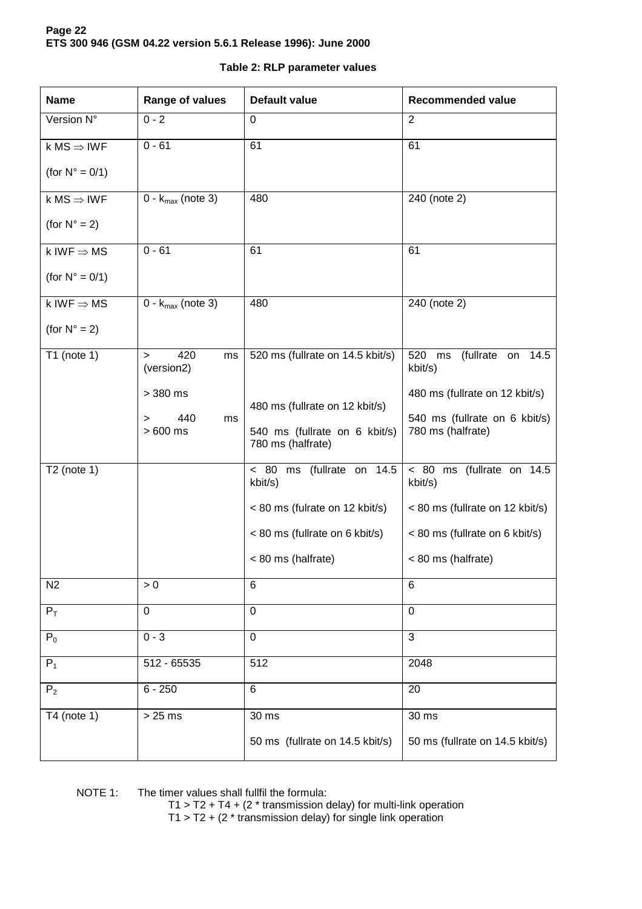#### **Page 22 ETS 300 946 (GSM 04.22 version 5.6.1 Release 1996): June 2000**

| <b>Name</b>              | <b>Range of values</b>            | Default value                                      | <b>Recommended value</b>                  |
|--------------------------|-----------------------------------|----------------------------------------------------|-------------------------------------------|
| Version N°               | $0 - 2$                           | 0                                                  | $\overline{2}$                            |
| $k MS \Rightarrow IWF$   | $0 - 61$                          | 61                                                 | 61                                        |
| (for $N^{\circ} = 0/1$ ) |                                   |                                                    |                                           |
| $k MS \Rightarrow IWF$   | $0 - k_{max}$ (note 3)            | 480                                                | 240 (note 2)                              |
| (for $N^\circ = 2$ )     |                                   |                                                    |                                           |
| k IWF $\Rightarrow$ MS   | $0 - 61$                          | 61                                                 | 61                                        |
| (for $N^{\circ} = 0/1$ ) |                                   |                                                    |                                           |
| k IWF $\Rightarrow$ MS   | $0 - k_{max}$ (note 3)            | 480                                                | 240 (note 2)                              |
| (for $N^\circ = 2$ )     |                                   |                                                    |                                           |
| T1 (note $1$ )           | 420<br>ms<br>$\geq$<br>(version2) | 520 ms (fullrate on 14.5 kbit/s)                   | 520 ms<br>(fullrate on<br>14.5<br>kbit/s) |
|                          | > 380 ms                          |                                                    | 480 ms (fullrate on 12 kbit/s)            |
|                          | 440<br>ms<br>>                    | 480 ms (fullrate on 12 kbit/s)                     | 540 ms (fullrate on 6 kbit/s)             |
|                          | $>600$ ms                         | 540 ms (fullrate on 6 kbit/s)<br>780 ms (halfrate) | 780 ms (halfrate)                         |
| $T2$ (note 1)            |                                   | < 80 ms (fullrate on 14.5<br>kbit/s)               | < 80 ms (fullrate on 14.5<br>kbit/s)      |
|                          |                                   | < 80 ms (fulrate on 12 kbit/s)                     | < 80 ms (fullrate on 12 kbit/s)           |
|                          |                                   | < 80 ms (fullrate on 6 kbit/s)                     | < 80 ms (fullrate on 6 kbit/s)            |
|                          |                                   | < 80 ms (halfrate)                                 | < 80 ms (halfrate)                        |
| N <sub>2</sub>           | > 0                               | $6\phantom{1}6$                                    | 6                                         |
| $P_T$                    | 0                                 | $\mathbf 0$                                        | 0                                         |
| $P_0$                    | $0 - 3$                           | $\mathbf 0$                                        | 3                                         |
| $P_1$                    | 512 - 65535                       | 512                                                | 2048                                      |
| P <sub>2</sub>           | $6 - 250$                         | 6                                                  | 20                                        |
| $T4$ (note 1)            | $>25$ ms                          | 30 ms                                              | 30 ms                                     |
|                          |                                   | 50 ms (fullrate on 14.5 kbit/s)                    | 50 ms (fullrate on 14.5 kbit/s)           |

#### **Table 2: RLP parameter values**

NOTE 1: The timer values shall fullfil the formula:

T1 > T2 + T4 + (2 \* transmission delay) for multi-link operation T1 > T2 + (2 \* transmission delay) for single link operation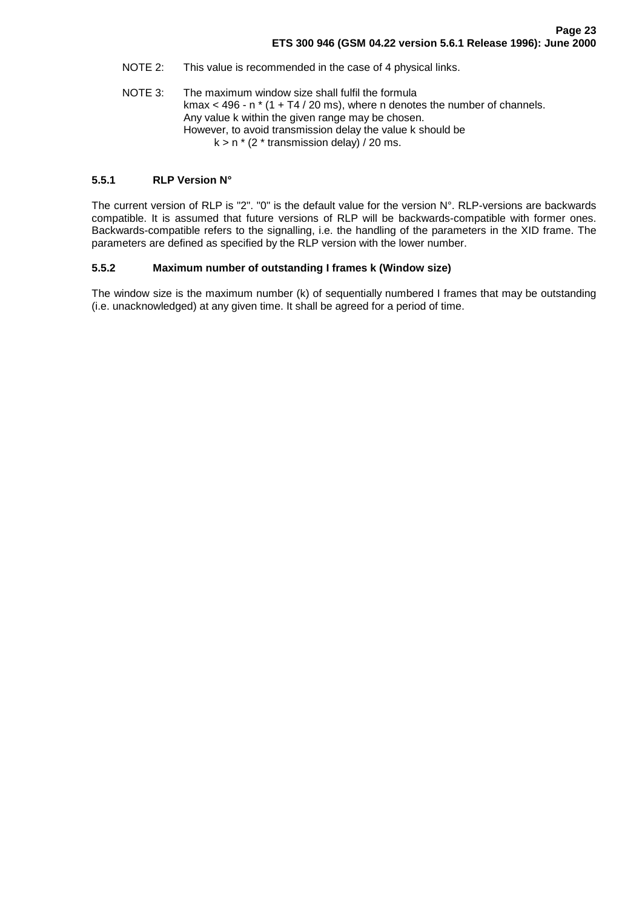- NOTE 2: This value is recommended in the case of 4 physical links.
- NOTE 3: The maximum window size shall fulfil the formula kmax  $<$  496 - n  $*$  (1 + T4 / 20 ms), where n denotes the number of channels. Any value k within the given range may be chosen. However, to avoid transmission delay the value k should be  $k > n * (2 * transmission delay) / 20 ms.$

#### **5.5.1 RLP Version N°**

The current version of RLP is "2". "0" is the default value for the version N°. RLP-versions are backwards compatible. It is assumed that future versions of RLP will be backwards-compatible with former ones. Backwards-compatible refers to the signalling, i.e. the handling of the parameters in the XID frame. The parameters are defined as specified by the RLP version with the lower number.

#### **5.5.2 Maximum number of outstanding I frames k (Window size)**

The window size is the maximum number (k) of sequentially numbered I frames that may be outstanding (i.e. unacknowledged) at any given time. It shall be agreed for a period of time.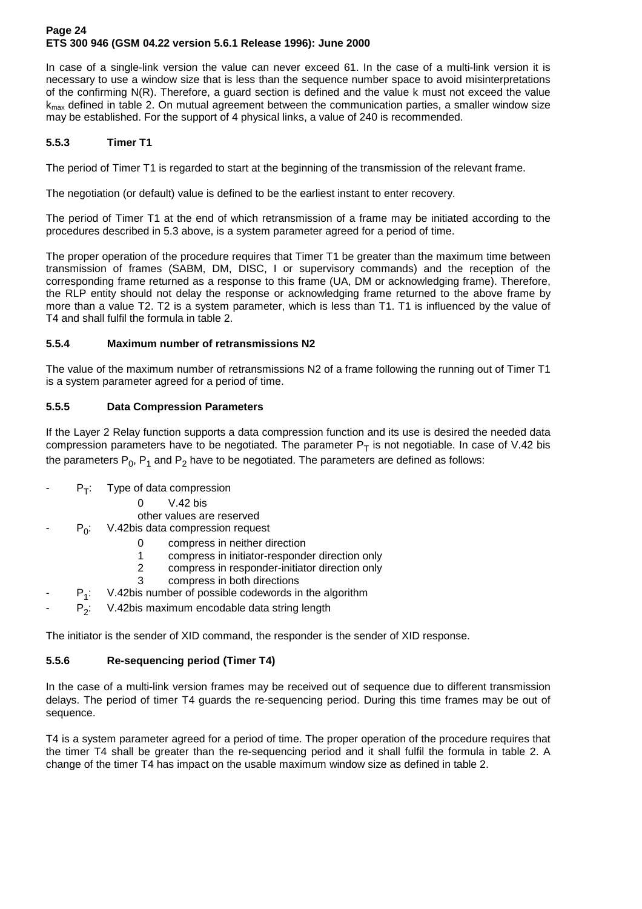# **Page 24 ETS 300 946 (GSM 04.22 version 5.6.1 Release 1996): June 2000**

In case of a single-link version the value can never exceed 61. In the case of a multi-link version it is necessary to use a window size that is less than the sequence number space to avoid misinterpretations of the confirming N(R). Therefore, a guard section is defined and the value k must not exceed the value  $k_{\text{max}}$  defined in table 2. On mutual agreement between the communication parties, a smaller window size may be established. For the support of 4 physical links, a value of 240 is recommended.

# **5.5.3 Timer T1**

The period of Timer T1 is regarded to start at the beginning of the transmission of the relevant frame.

The negotiation (or default) value is defined to be the earliest instant to enter recovery.

The period of Timer T1 at the end of which retransmission of a frame may be initiated according to the procedures described in 5.3 above, is a system parameter agreed for a period of time.

The proper operation of the procedure requires that Timer T1 be greater than the maximum time between transmission of frames (SABM, DM, DISC, I or supervisory commands) and the reception of the corresponding frame returned as a response to this frame (UA, DM or acknowledging frame). Therefore, the RLP entity should not delay the response or acknowledging frame returned to the above frame by more than a value T2. T2 is a system parameter, which is less than T1. T1 is influenced by the value of T4 and shall fulfil the formula in table 2.

# **5.5.4 Maximum number of retransmissions N2**

The value of the maximum number of retransmissions N2 of a frame following the running out of Timer T1 is a system parameter agreed for a period of time.

# **5.5.5 Data Compression Parameters**

If the Layer 2 Relay function supports a data compression function and its use is desired the needed data compression parameters have to be negotiated. The parameter  $P<sub>T</sub>$  is not negotiable. In case of V.42 bis the parameters  $P_0$ ,  $P_1$  and  $P_2$  have to be negotiated. The parameters are defined as follows:

- $P_T$ : Type of data compression
	- 0 V.42 bis

other values are reserved

- $P_0$ : V.42bis data compression request
	- 0 compress in neither direction
	- 1 compress in initiator-responder direction only
	- 2 compress in responder-initiator direction only
	- 3 compress in both directions
- $P_1$ : V.42bis number of possible codewords in the algorithm
- $P_2$ : V.42bis maximum encodable data string length

The initiator is the sender of XID command, the responder is the sender of XID response.

# **5.5.6 Re-sequencing period (Timer T4)**

In the case of a multi-link version frames may be received out of sequence due to different transmission delays. The period of timer T4 guards the re-sequencing period. During this time frames may be out of sequence.

T4 is a system parameter agreed for a period of time. The proper operation of the procedure requires that the timer T4 shall be greater than the re-sequencing period and it shall fulfil the formula in table 2. A change of the timer T4 has impact on the usable maximum window size as defined in table 2.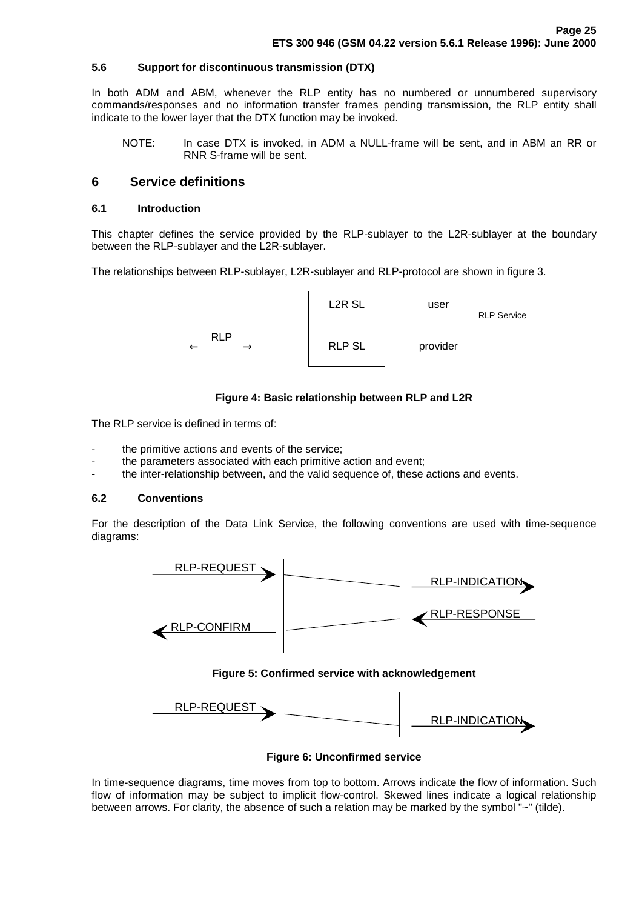#### **5.6 Support for discontinuous transmission (DTX)**

In both ADM and ABM, whenever the RLP entity has no numbered or unnumbered supervisory commands/responses and no information transfer frames pending transmission, the RLP entity shall indicate to the lower layer that the DTX function may be invoked.

NOTE: In case DTX is invoked, in ADM a NULL-frame will be sent, and in ABM an RR or RNR S-frame will be sent.

#### **6 Service definitions**

#### **6.1 Introduction**

This chapter defines the service provided by the RLP-sublayer to the L2R-sublayer at the boundary between the RLP-sublayer and the L2R-sublayer.

The relationships between RLP-sublayer, L2R-sublayer and RLP-protocol are shown in figure 3.



#### **Figure 4: Basic relationship between RLP and L2R**

The RLP service is defined in terms of:

- the primitive actions and events of the service:
- the parameters associated with each primitive action and event;
- the inter-relationship between, and the valid sequence of, these actions and events.

#### **6.2 Conventions**

For the description of the Data Link Service, the following conventions are used with time-sequence diagrams:



**Figure 5: Confirmed service with acknowledgement**



#### **Figure 6: Unconfirmed service**

In time-sequence diagrams, time moves from top to bottom. Arrows indicate the flow of information. Such flow of information may be subject to implicit flow-control. Skewed lines indicate a logical relationship between arrows. For clarity, the absence of such a relation may be marked by the symbol "~" (tilde).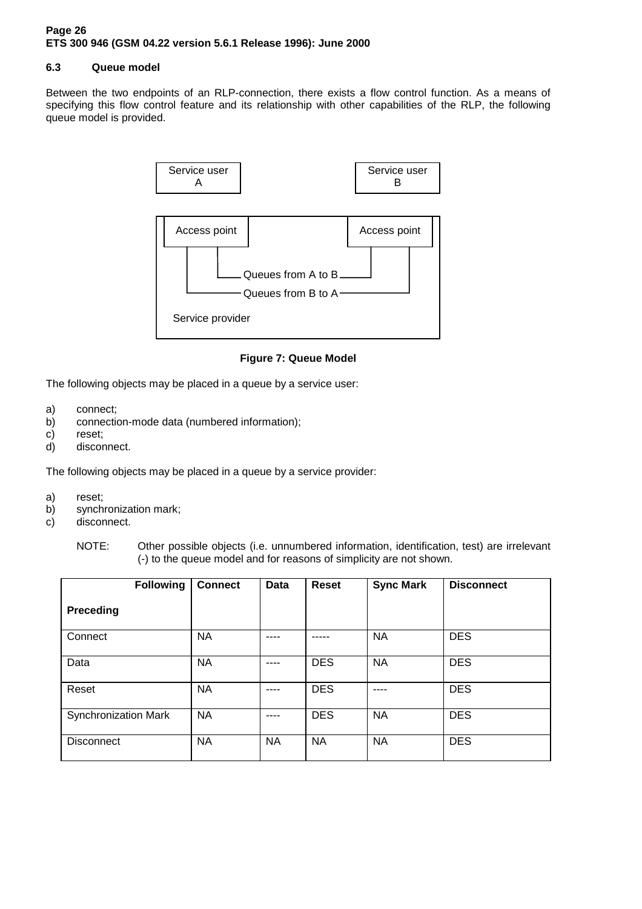# **Page 26 ETS 300 946 (GSM 04.22 version 5.6.1 Release 1996): June 2000**

#### **6.3 Queue model**

Between the two endpoints of an RLP-connection, there exists a flow control function. As a means of specifying this flow control feature and its relationship with other capabilities of the RLP, the following queue model is provided.



# **Figure 7: Queue Model**

The following objects may be placed in a queue by a service user:

- a) connect;
- b) connection-mode data (numbered information);
- c) reset;
- d) disconnect.

The following objects may be placed in a queue by a service provider:

- a) reset;
- b) synchronization mark;
- c) disconnect.
	- NOTE: Other possible objects (i.e. unnumbered information, identification, test) are irrelevant (-) to the queue model and for reasons of simplicity are not shown.

| <b>Following</b>            | <b>Connect</b> | <b>Data</b> | <b>Reset</b> | <b>Sync Mark</b> | <b>Disconnect</b> |
|-----------------------------|----------------|-------------|--------------|------------------|-------------------|
| Preceding                   |                |             |              |                  |                   |
| Connect                     | <b>NA</b>      |             |              | <b>NA</b>        | <b>DES</b>        |
| Data                        | <b>NA</b>      |             | <b>DES</b>   | <b>NA</b>        | <b>DES</b>        |
| Reset                       | <b>NA</b>      |             | <b>DES</b>   |                  | <b>DES</b>        |
| <b>Synchronization Mark</b> | <b>NA</b>      | ----        | <b>DES</b>   | <b>NA</b>        | <b>DES</b>        |
| <b>Disconnect</b>           | <b>NA</b>      | <b>NA</b>   | <b>NA</b>    | <b>NA</b>        | <b>DES</b>        |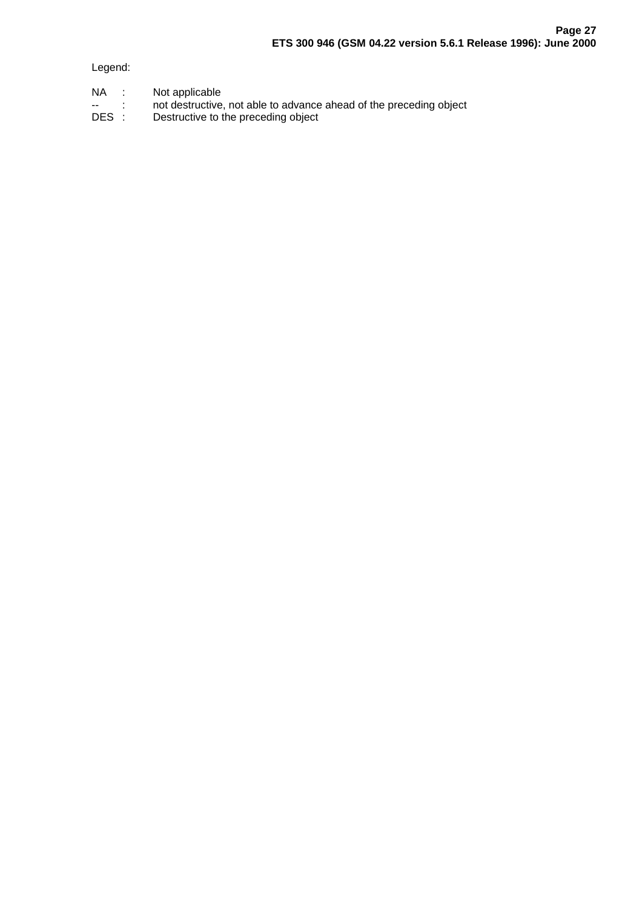Legend:

- NA : Not applicable<br>-- : not destructive
- -- : not destructive, not able to advance ahead of the preceding object<br>DES : Destructive to the preceding object
- Destructive to the preceding object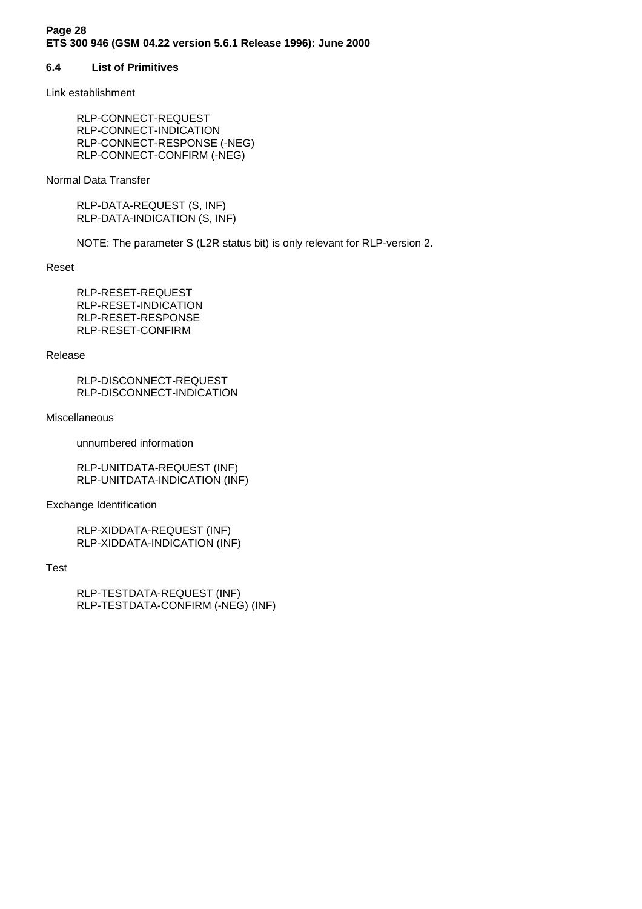# **Page 28 ETS 300 946 (GSM 04.22 version 5.6.1 Release 1996): June 2000**

#### **6.4 List of Primitives**

Link establishment

RLP-CONNECT-REQUEST RLP-CONNECT-INDICATION RLP-CONNECT-RESPONSE (-NEG) RLP-CONNECT-CONFIRM (-NEG)

Normal Data Transfer

RLP-DATA-REQUEST (S, INF) RLP-DATA-INDICATION (S, INF)

NOTE: The parameter S (L2R status bit) is only relevant for RLP-version 2.

Reset

RLP-RESET-REQUEST RLP-RESET-INDICATION RLP-RESET-RESPONSE RLP-RESET-CONFIRM

Release

RLP-DISCONNECT-REQUEST RLP-DISCONNECT-INDICATION

Miscellaneous

unnumbered information

RLP-UNITDATA-REQUEST (INF) RLP-UNITDATA-INDICATION (INF)

Exchange Identification

RLP-XIDDATA-REQUEST (INF) RLP-XIDDATA-INDICATION (INF)

Test

```
RLP-TESTDATA-REQUEST (INF)
RLP-TESTDATA-CONFIRM (-NEG) (INF)
```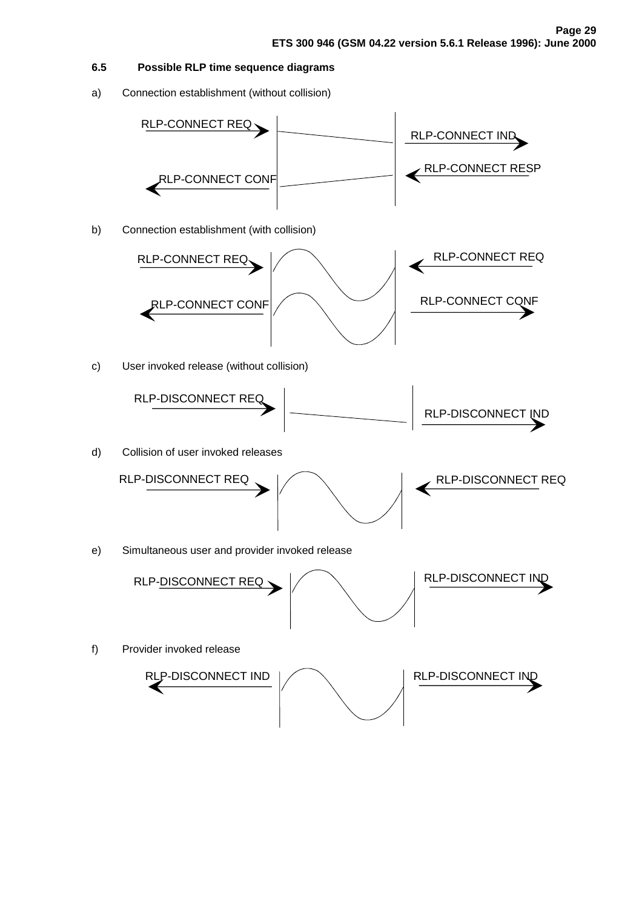#### **6.5 Possible RLP time sequence diagrams**

a) Connection establishment (without collision)



b) Connection establishment (with collision)



c) User invoked release (without collision)



d) Collision of user invoked releases



e) Simultaneous user and provider invoked release



P-DISCONNECT IND | RLP-DISCONNECT IND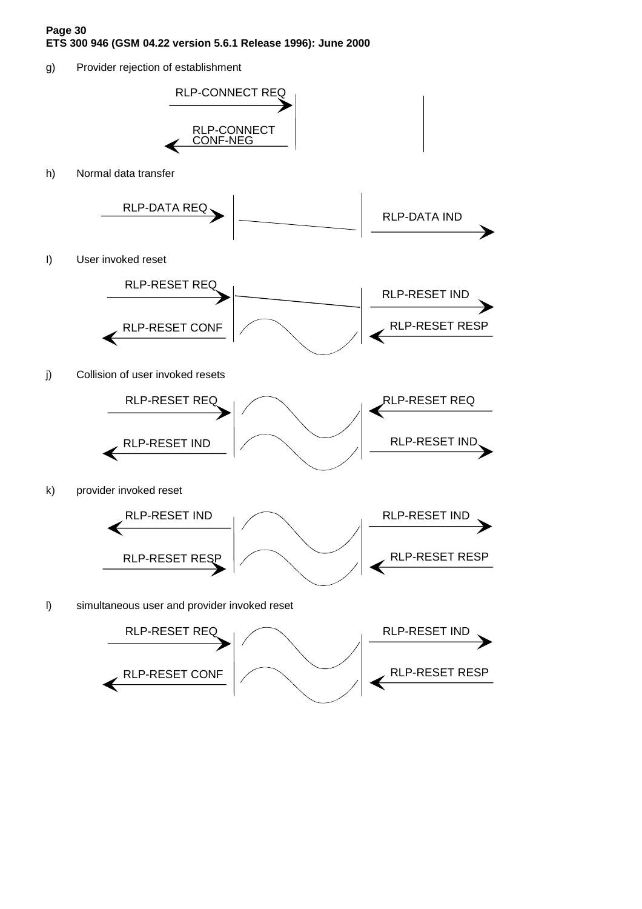# **Page 30 ETS 300 946 (GSM 04.22 version 5.6.1 Release 1996): June 2000**

g) Provider rejection of establishment

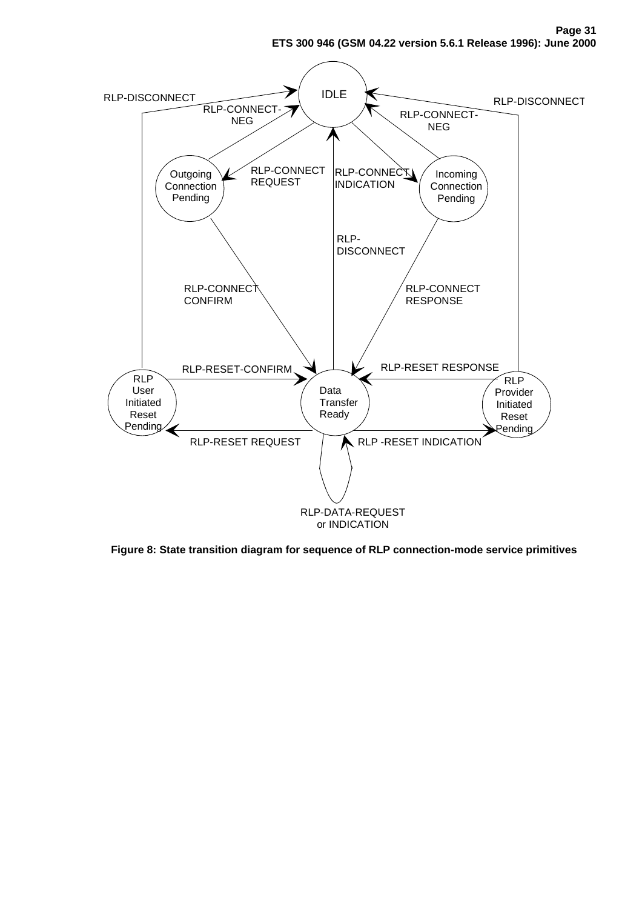

**Figure 8: State transition diagram for sequence of RLP connection-mode service primitives**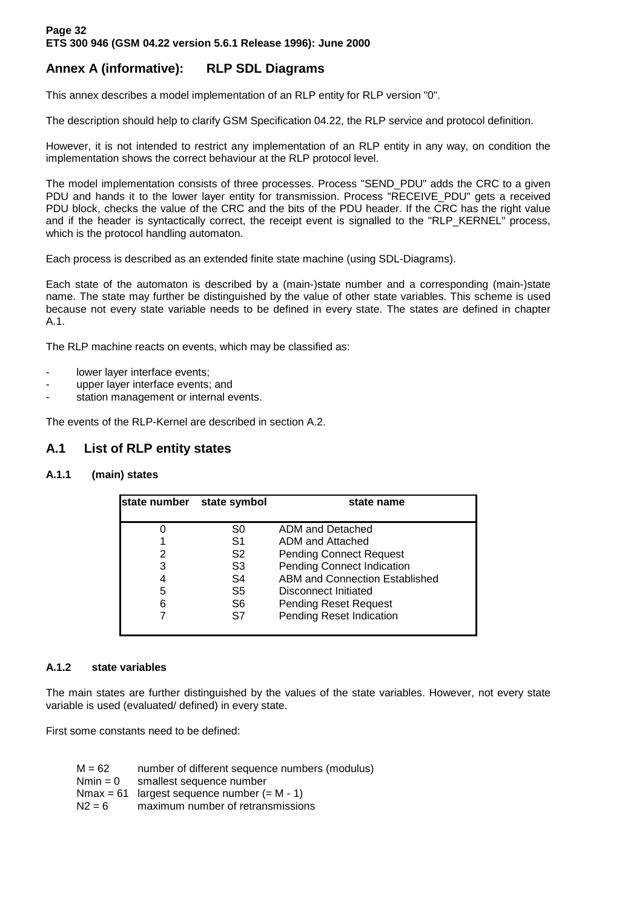# **Page 32 ETS 300 946 (GSM 04.22 version 5.6.1 Release 1996): June 2000**

# **Annex A (informative): RLP SDL Diagrams**

This annex describes a model implementation of an RLP entity for RLP version "0".

The description should help to clarify GSM Specification 04.22, the RLP service and protocol definition.

However, it is not intended to restrict any implementation of an RLP entity in any way, on condition the implementation shows the correct behaviour at the RLP protocol level.

The model implementation consists of three processes. Process "SEND\_PDU" adds the CRC to a given PDU and hands it to the lower layer entity for transmission. Process "RECEIVE\_PDU" gets a received PDU block, checks the value of the CRC and the bits of the PDU header. If the CRC has the right value and if the header is syntactically correct, the receipt event is signalled to the "RLP\_KERNEL" process, which is the protocol handling automaton.

Each process is described as an extended finite state machine (using SDL-Diagrams).

Each state of the automaton is described by a (main-)state number and a corresponding (main-)state name. The state may further be distinguished by the value of other state variables. This scheme is used because not every state variable needs to be defined in every state. The states are defined in chapter A.1.

The RLP machine reacts on events, which may be classified as:

- lower layer interface events;
- upper layer interface events; and
- station management or internal events.

The events of the RLP-Kernel are described in section A.2.

# **A.1 List of RLP entity states**

#### **A.1.1 (main) states**

| state number | state symbol | state name                            |
|--------------|--------------|---------------------------------------|
|              |              |                                       |
|              | S0           | ADM and Detached                      |
|              | S1           | ADM and Attached                      |
| 2            | S2           | <b>Pending Connect Request</b>        |
| 3            | S3           | <b>Pending Connect Indication</b>     |
| 4            | S4           | <b>ABM and Connection Established</b> |
| 5            | S5           | Disconnect Initiated                  |
| 6            | S6           | <b>Pending Reset Request</b>          |
|              | S7           | Pending Reset Indication              |
|              |              |                                       |

#### **A.1.2 state variables**

The main states are further distinguished by the values of the state variables. However, not every state variable is used (evaluated/ defined) in every state.

First some constants need to be defined:

| $M = 62$   | number of different sequence numbers (modulus)                                     |
|------------|------------------------------------------------------------------------------------|
| $Nmin = 0$ | smallest sequence number                                                           |
| $N2 = 6$   | Nmax = $61$ largest sequence number (= M - 1)<br>maximum number of retransmissions |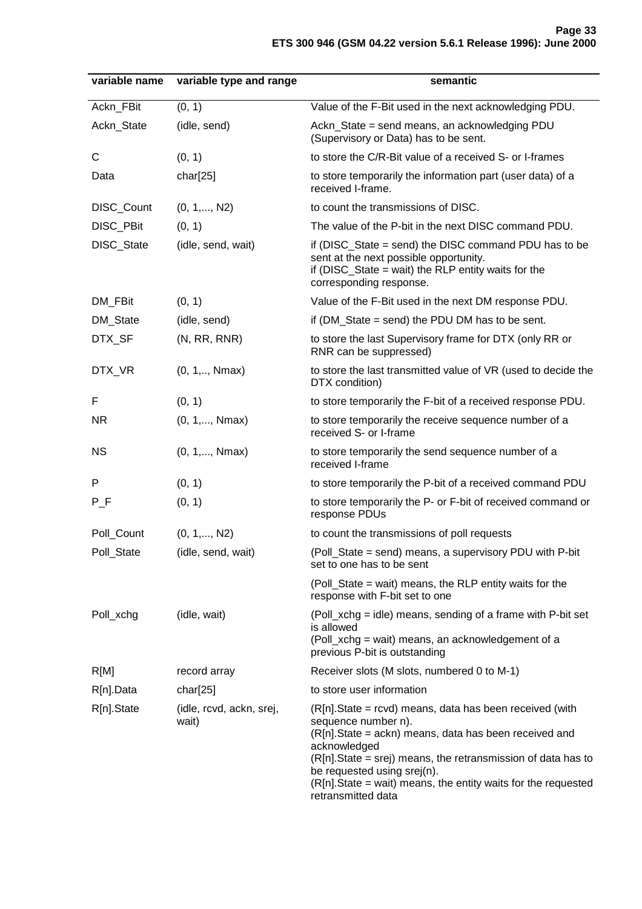| variable name | variable type and range           | semantic                                                                                                                                                                                                                                                                                                                                            |
|---------------|-----------------------------------|-----------------------------------------------------------------------------------------------------------------------------------------------------------------------------------------------------------------------------------------------------------------------------------------------------------------------------------------------------|
| Ackn_FBit     | (0, 1)                            | Value of the F-Bit used in the next acknowledging PDU.                                                                                                                                                                                                                                                                                              |
| Ackn_State    | (idle, send)                      | Ackn_State = send means, an acknowledging PDU<br>(Supervisory or Data) has to be sent.                                                                                                                                                                                                                                                              |
| $\mathsf C$   | (0, 1)                            | to store the C/R-Bit value of a received S- or I-frames                                                                                                                                                                                                                                                                                             |
| Data          | char[25]                          | to store temporarily the information part (user data) of a<br>received I-frame.                                                                                                                                                                                                                                                                     |
| DISC_Count    | $(0, 1, \ldots, N2)$              | to count the transmissions of DISC.                                                                                                                                                                                                                                                                                                                 |
| DISC_PBit     | (0, 1)                            | The value of the P-bit in the next DISC command PDU.                                                                                                                                                                                                                                                                                                |
| DISC_State    | (idle, send, wait)                | if (DISC_State = send) the DISC command PDU has to be<br>sent at the next possible opportunity.<br>if ( $DISC\_State = wait$ ) the RLP entity waits for the<br>corresponding response.                                                                                                                                                              |
| DM_FBit       | (0, 1)                            | Value of the F-Bit used in the next DM response PDU.                                                                                                                                                                                                                                                                                                |
| DM_State      | (idle, send)                      | if (DM State = send) the PDU DM has to be sent.                                                                                                                                                                                                                                                                                                     |
| DTX_SF        | (N, RR, RNR)                      | to store the last Supervisory frame for DTX (only RR or<br>RNR can be suppressed)                                                                                                                                                                                                                                                                   |
| DTX_VR        | $(0, 1, \ldots, Nmax)$            | to store the last transmitted value of VR (used to decide the<br>DTX condition)                                                                                                                                                                                                                                                                     |
| F             | (0, 1)                            | to store temporarily the F-bit of a received response PDU.                                                                                                                                                                                                                                                                                          |
| NR.           | $(0, 1, \ldots, Nmax)$            | to store temporarily the receive sequence number of a<br>received S- or I-frame                                                                                                                                                                                                                                                                     |
| <b>NS</b>     | $(0, 1, \ldots, Nmax)$            | to store temporarily the send sequence number of a<br>received I-frame                                                                                                                                                                                                                                                                              |
| P             | (0, 1)                            | to store temporarily the P-bit of a received command PDU                                                                                                                                                                                                                                                                                            |
| $P_F$         | (0, 1)                            | to store temporarily the P- or F-bit of received command or<br>response PDUs                                                                                                                                                                                                                                                                        |
| Poll_Count    | $(0, 1, \ldots, N2)$              | to count the transmissions of poll requests                                                                                                                                                                                                                                                                                                         |
| Poll_State    | (idle, send, wait)                | (Poll_State = send) means, a supervisory PDU with P-bit<br>set to one has to be sent                                                                                                                                                                                                                                                                |
|               |                                   | (Poll_State = wait) means, the RLP entity waits for the<br>response with F-bit set to one                                                                                                                                                                                                                                                           |
| Poll_xchg     | (idle, wait)                      | (Poll_xchg = idle) means, sending of a frame with P-bit set<br>is allowed<br>(Poll_xchg = wait) means, an acknowledgement of a<br>previous P-bit is outstanding                                                                                                                                                                                     |
| R[M]          | record array                      | Receiver slots (M slots, numbered 0 to M-1)                                                                                                                                                                                                                                                                                                         |
| R[n].Data     | char[25]                          | to store user information                                                                                                                                                                                                                                                                                                                           |
| R[n].State    | (idle, rcvd, ackn, srej,<br>wait) | (R[n]. State = rcvd) means, data has been received (with<br>sequence number n).<br>(R[n]. State = ackn) means, data has been received and<br>acknowledged<br>$(R[n].State = srej)$ means, the retransmission of data has to<br>be requested using srej(n).<br>$(R[n].State = wait)$ means, the entity waits for the requested<br>retransmitted data |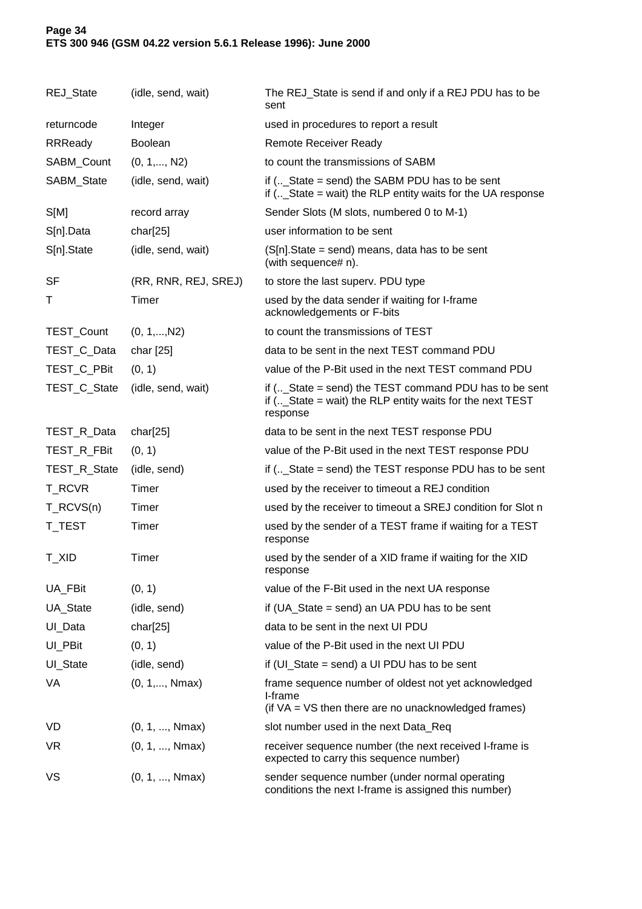# **Page 34 ETS 300 946 (GSM 04.22 version 5.6.1 Release 1996): June 2000**

| REJ_State      | (idle, send, wait)     | The REJ_State is send if and only if a REJ PDU has to be<br>sent                                                                  |
|----------------|------------------------|-----------------------------------------------------------------------------------------------------------------------------------|
| returncode     | Integer                | used in procedures to report a result                                                                                             |
| <b>RRReady</b> | <b>Boolean</b>         | <b>Remote Receiver Ready</b>                                                                                                      |
| SABM Count     | $(0, 1, \ldots, N2)$   | to count the transmissions of SABM                                                                                                |
| SABM_State     | (idle, send, wait)     | if $($ State = send) the SABM PDU has to be sent<br>if $($ State = wait) the RLP entity waits for the UA response                 |
| S[M]           | record array           | Sender Slots (M slots, numbered 0 to M-1)                                                                                         |
| S[n].Data      | char[25]               | user information to be sent                                                                                                       |
| S[n].State     | (idle, send, wait)     | $(S[n].State = send)$ means, data has to be sent<br>(with sequence# n).                                                           |
| <b>SF</b>      | (RR, RNR, REJ, SREJ)   | to store the last superv. PDU type                                                                                                |
| Τ              | Timer                  | used by the data sender if waiting for I-frame<br>acknowledgements or F-bits                                                      |
| TEST_Count     | $(0, 1, \ldots, N2)$   | to count the transmissions of TEST                                                                                                |
| TEST_C_Data    | char [25]              | data to be sent in the next TEST command PDU                                                                                      |
| TEST_C_PBit    | (0, 1)                 | value of the P-Bit used in the next TEST command PDU                                                                              |
| TEST_C_State   | (idle, send, wait)     | if (_State = send) the TEST command PDU has to be sent<br>if $($ State = wait) the RLP entity waits for the next TEST<br>response |
| TEST_R_Data    | char[25]               | data to be sent in the next TEST response PDU                                                                                     |
| TEST_R_FBit    | (0, 1)                 | value of the P-Bit used in the next TEST response PDU                                                                             |
| TEST_R_State   | (idle, send)           | if $($ State = send) the TEST response PDU has to be sent                                                                         |
| T_RCVR         | Timer                  | used by the receiver to timeout a REJ condition                                                                                   |
| $T_RCVS(n)$    | Timer                  | used by the receiver to timeout a SREJ condition for Slot n                                                                       |
| <b>T_TEST</b>  | Timer                  | used by the sender of a TEST frame if waiting for a TEST<br>response                                                              |
| T_XID          | Timer                  | used by the sender of a XID frame if waiting for the XID<br>response                                                              |
| UA FBit        | (0, 1)                 | value of the F-Bit used in the next UA response                                                                                   |
| UA State       | (idle, send)           | if (UA_State = send) an UA PDU has to be sent                                                                                     |
| UI_Data        | char[25]               | data to be sent in the next UI PDU                                                                                                |
| UI_PBit        | (0, 1)                 | value of the P-Bit used in the next UI PDU                                                                                        |
| UI State       | (idle, send)           | if (UI_State = send) a UI PDU has to be sent                                                                                      |
| VA             | $(0, 1, \ldots, Nmax)$ | frame sequence number of oldest not yet acknowledged<br>I-frame<br>(if VA = VS then there are no unacknowledged frames)           |
| VD.            | (0, 1, , Nmax)         | slot number used in the next Data_Req                                                                                             |
| VR.            | (0, 1, , Nmax)         | receiver sequence number (the next received I-frame is<br>expected to carry this sequence number)                                 |
| VS             | (0, 1, , Nmax)         | sender sequence number (under normal operating<br>conditions the next I-frame is assigned this number)                            |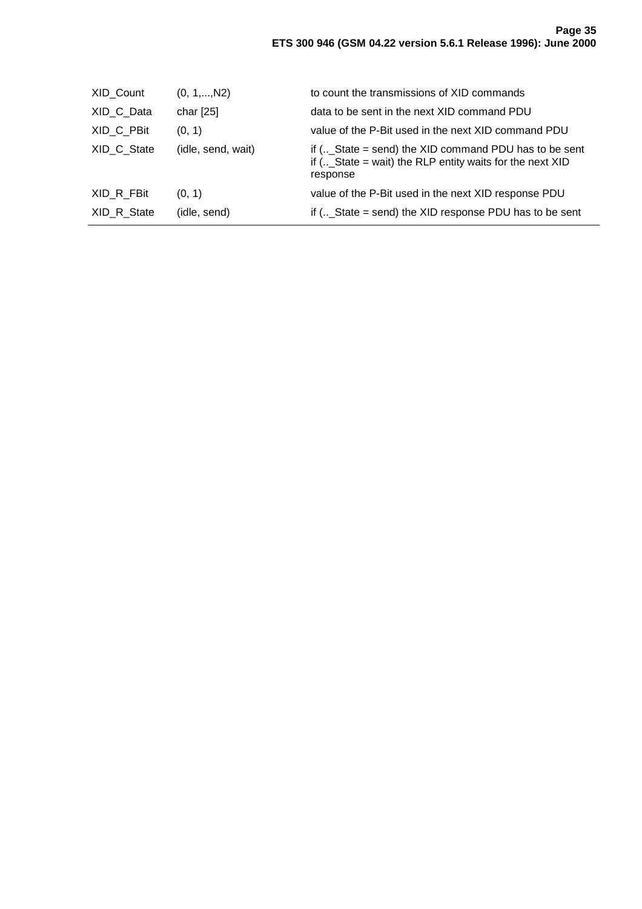#### **Page 35 ETS 300 946 (GSM 04.22 version 5.6.1 Release 1996): June 2000**

| XID_Count   | $(0, 1, \ldots, N2)$ | to count the transmissions of XID commands                                                                                          |
|-------------|----------------------|-------------------------------------------------------------------------------------------------------------------------------------|
| XID C Data  | char [25]            | data to be sent in the next XID command PDU                                                                                         |
| XID C PBit  | (0, 1)               | value of the P-Bit used in the next XID command PDU                                                                                 |
| XID C State | (idle, send, wait)   | if $($ State = send) the XID command PDU has to be sent<br>if $($ State = wait) the RLP entity waits for the next $XID$<br>response |
| XID R FBit  | (0, 1)               | value of the P-Bit used in the next XID response PDU                                                                                |
| XID R State | (idle, send)         | if $($ State = send) the XID response PDU has to be sent                                                                            |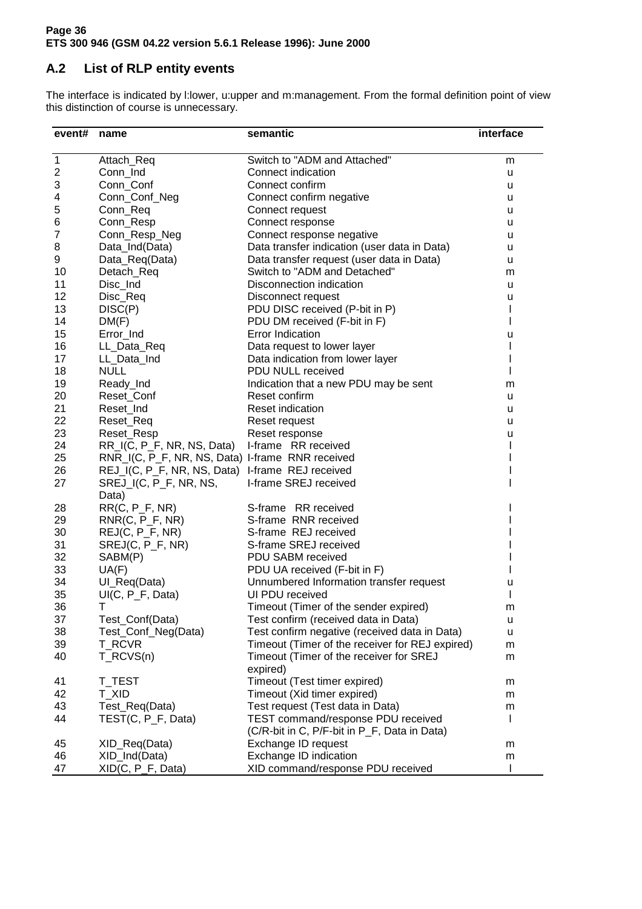# **A.2 List of RLP entity events**

The interface is indicated by l:lower, u:upper and m:management. From the formal definition point of view this distinction of course is unnecessary.

| event#         | name                                             | semantic                                        | interface |
|----------------|--------------------------------------------------|-------------------------------------------------|-----------|
|                |                                                  |                                                 |           |
| $\mathbf 1$    | Attach_Req                                       | Switch to "ADM and Attached"                    | m         |
| 2              | Conn_Ind                                         | Connect indication                              | u         |
| 3              | Conn_Conf                                        | Connect confirm                                 | u         |
| 4              | Conn_Conf_Neg                                    | Connect confirm negative                        | u         |
| 5              | Conn_Req                                         | Connect request                                 | u         |
| 6              | Conn_Resp                                        | Connect response                                | u         |
| $\overline{7}$ | Conn_Resp_Neg                                    | Connect response negative                       | u         |
| 8              | Data_Ind(Data)                                   | Data transfer indication (user data in Data)    | u         |
| 9              | Data_Req(Data)                                   | Data transfer request (user data in Data)       | u         |
| 10             | Detach_Req                                       | Switch to "ADM and Detached"                    | m         |
| 11             | Disc_Ind                                         | Disconnection indication                        | u         |
| 12             | Disc_Req                                         | Disconnect request                              | u         |
| 13             | DISC(P)                                          | PDU DISC received (P-bit in P)                  | I         |
| 14             | DM(F)                                            | PDU DM received (F-bit in F)                    |           |
| 15             | Error_Ind                                        | <b>Error Indication</b>                         | u         |
| 16             | LL_Data_Req                                      | Data request to lower layer                     |           |
| 17             | LL Data Ind                                      | Data indication from lower layer                |           |
| 18             | <b>NULL</b>                                      | PDU NULL received                               |           |
| 19             | Ready_Ind                                        | Indication that a new PDU may be sent           | m         |
| 20             | Reset_Conf                                       | Reset confirm                                   |           |
| 21             | Reset_Ind                                        | Reset indication                                | u         |
| 22             |                                                  |                                                 | u         |
|                | Reset_Req                                        | Reset request                                   | u         |
| 23             | Reset_Resp                                       | Reset response<br>I-frame RR received           | u         |
| 24             | RR_I(C, P_F, NR, NS, Data)                       |                                                 |           |
| 25             | RNR_I(C, P_F, NR, NS, Data) I-frame RNR received |                                                 |           |
| 26             | REJ_I(C, P_F, NR, NS, Data) I-frame REJ received |                                                 |           |
| 27             | SREJ_I(C, P_F, NR, NS,                           | I-frame SREJ received                           |           |
|                | Data)                                            |                                                 |           |
| 28             | $RR(C, P_F, NR)$                                 | S-frame RR received                             |           |
| 29             | $RNR(C, P_F, NR)$                                | S-frame RNR received                            |           |
| 30             | $REJ(C, P_F, NR)$                                | S-frame REJ received                            |           |
| 31             | $SREJ(C, P_F, NR)$                               | S-frame SREJ received                           |           |
| 32             | SABM(P)                                          | PDU SABM received                               |           |
| 33             | UA(F)                                            | PDU UA received (F-bit in F)                    |           |
| 34             | UI_Req(Data)                                     | Unnumbered Information transfer request         | U         |
| 35             | $UI(C, P_F, Data)$                               | UI PDU received                                 |           |
| 36             | T.                                               | Timeout (Timer of the sender expired)           | m         |
| 37             | Test_Conf(Data)                                  | Test confirm (received data in Data)            | u         |
| 38             | Test_Conf_Neg(Data)                              | Test confirm negative (received data in Data)   | u         |
| 39             | T RCVR                                           | Timeout (Timer of the receiver for REJ expired) | m         |
| 40             | $T_RCVS(n)$                                      | Timeout (Timer of the receiver for SREJ         | m         |
|                |                                                  | expired)                                        |           |
| 41             | <b>T_TEST</b>                                    | Timeout (Test timer expired)                    | m         |
| 42             | T_XID                                            | Timeout (Xid timer expired)                     | m         |
| 43             | Test_Req(Data)                                   | Test request (Test data in Data)                | m         |
| 44             | TEST(C, P_F, Data)                               | TEST command/response PDU received              | L         |
|                |                                                  | (C/R-bit in C, P/F-bit in P_F, Data in Data)    |           |
| 45             | XID_Req(Data)                                    | Exchange ID request                             | m         |
| 46             | XID_Ind(Data)                                    | Exchange ID indication                          | m         |
| 47             | XID(C, P_F, Data)                                | XID command/response PDU received               | I         |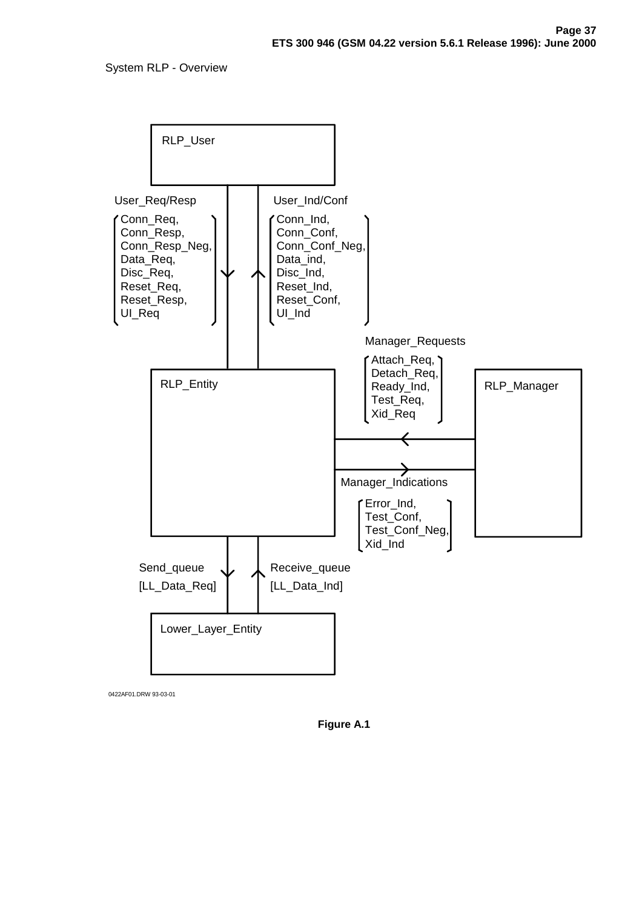System RLP - Overview



0422AF01.DRW 93-03-01

**Figure A.1**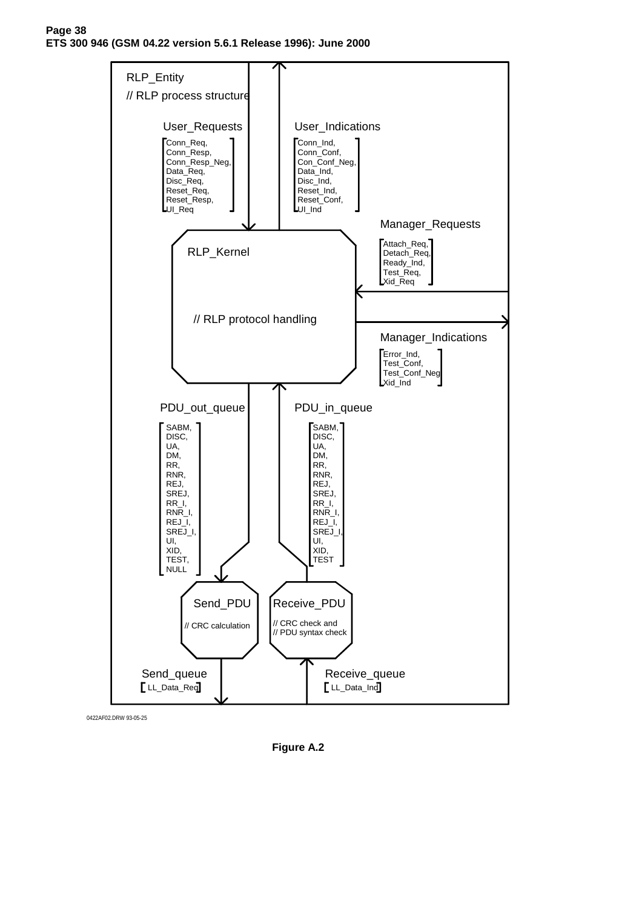#### **Page 38 ETS 300 946 (GSM 04.22 version 5.6.1 Release 1996): June 2000**



0422AF02.DRW 93-05-25

**Figure A.2**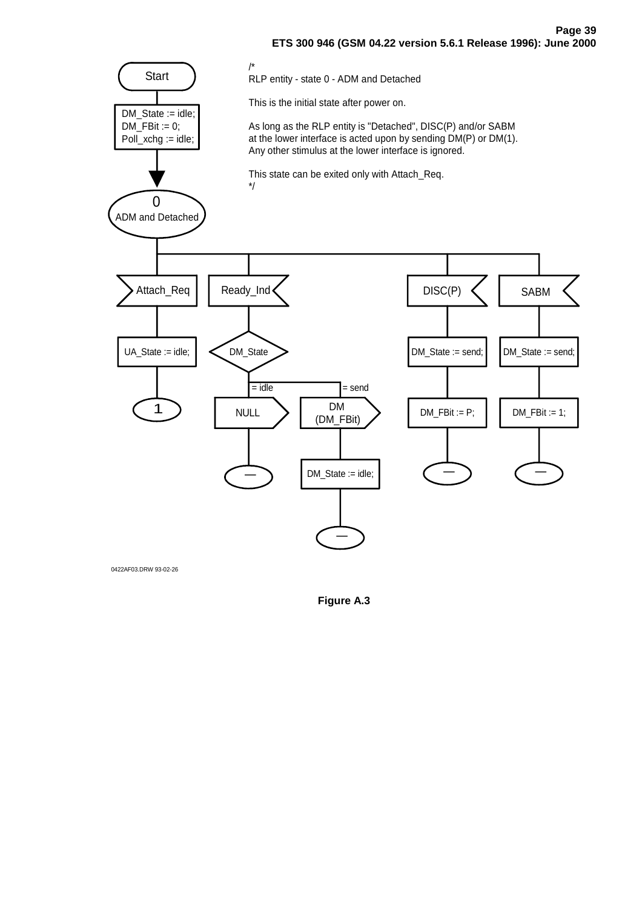

**Page 39**

0422AF03.DRW 93-02-26

**Figure A.3**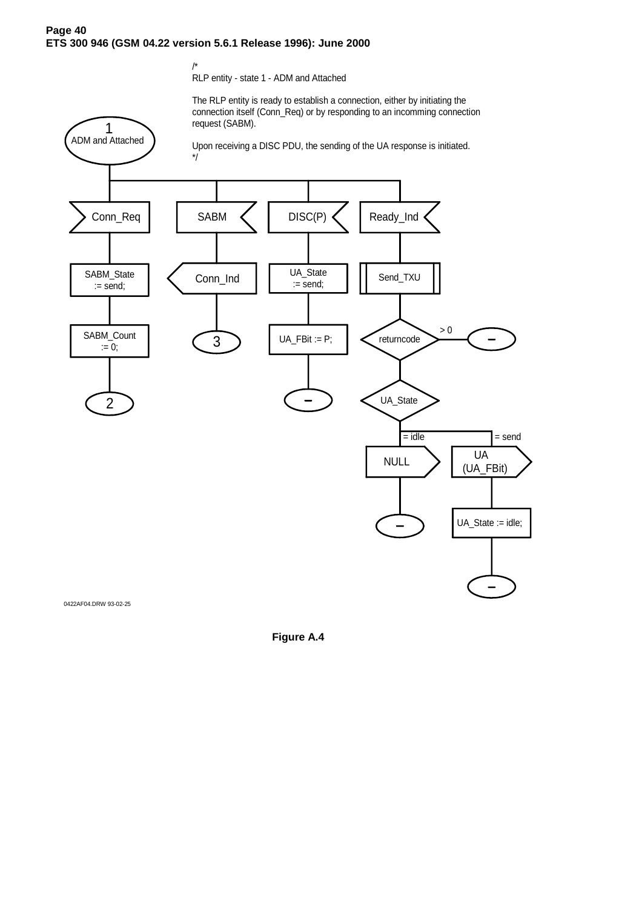#### **Page 40 ETS 300 946 (GSM 04.22 version 5.6.1 Release 1996): June 2000**

/\* RLP entity - state 1 - ADM and Attached

The RLP entity is ready to establish a connection, either by initiating the connection itself (Conn\_Req) or by responding to an incomming connection request (SABM).

Upon receiving a DISC PDU, the sending of the UA response is initiated.



0422AF04.DRW 93-02-25

ADM and Attached 1

**Figure A.4**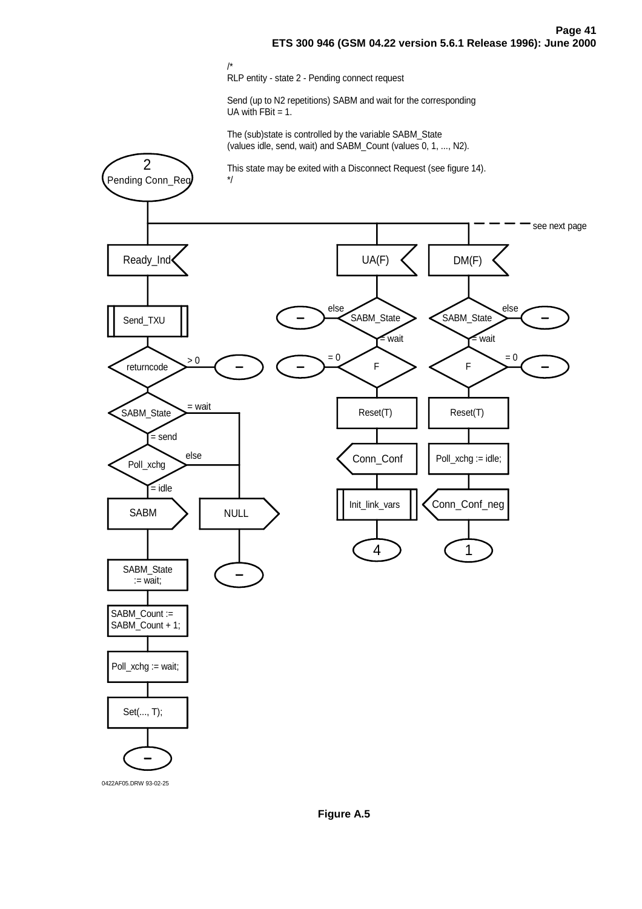/\*

RLP entity - state 2 - Pending connect request

Send (up to N2 repetitions) SABM and wait for the corresponding UA with  $FBit = 1$ .

The (sub)state is controlled by the variable SABM\_State (values idle, send, wait) and SABM\_Count (values 0, 1, ..., N2).

Pending Conn\_Req 2 Ready\_Ind returncode 1 UA(F) Init\_link\_vars 4 DM(F) SABM\_State := wait; This state may be exited with a Disconnect Request (see figure 14). \*/ Send\_TXU SABM\_State SABM > NULL SABM\_Count := SABM\_Count + 1; Set(..., T);  $=$  send = wait F Reset(T) Conn\_Conf  $= 0$ F Reset(T) Conn\_Conf\_neg  $>0$   $>0$   $=0$   $<$   $<$   $>$   $>$   $=0$ see next page  $SABM$  State  $\left.\right\rangle$   $\left.\rightleftharpoons$  SABM State = wait else = wait else Poll\_xchg  $\leftarrow$  else Conn\_Conf Poll\_xchg := idle;  $=$  idle else Poll\_xchg := wait;

0422AF05.DRW 93-02-25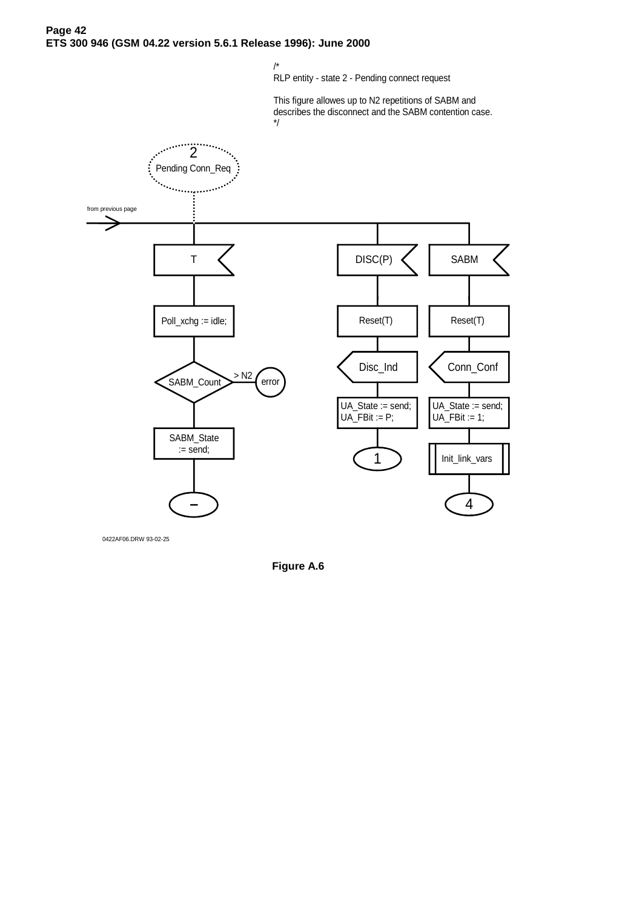#### **Page 42 ETS 300 946 (GSM 04.22 version 5.6.1 Release 1996): June 2000**

/\* RLP entity - state 2 - Pending connect request

This figure allowes up to N2 repetitions of SABM and describes the disconnect and the SABM contention case. \*/



0422AF06.DRW 93-02-25

**Figure A.6**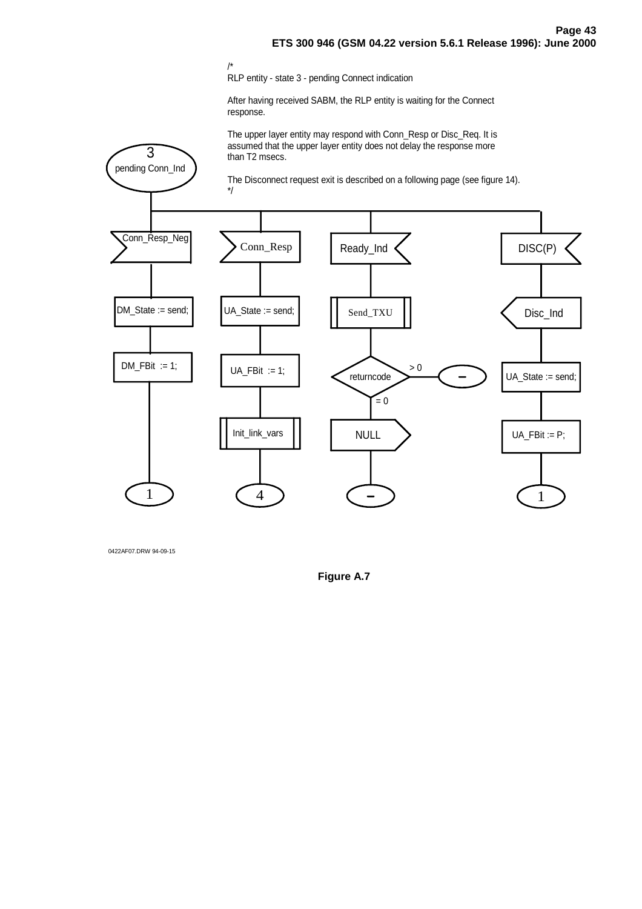/\*

RLP entity - state 3 - pending Connect indication

After having received SABM, the RLP entity is waiting for the Connect response.

The upper layer entity may respond with Conn\_Resp or Disc\_Req. It is assumed that the upper layer entity does not delay the response more than T2 msecs.



0422AF07.DRW 94-09-15

**Figure A.7**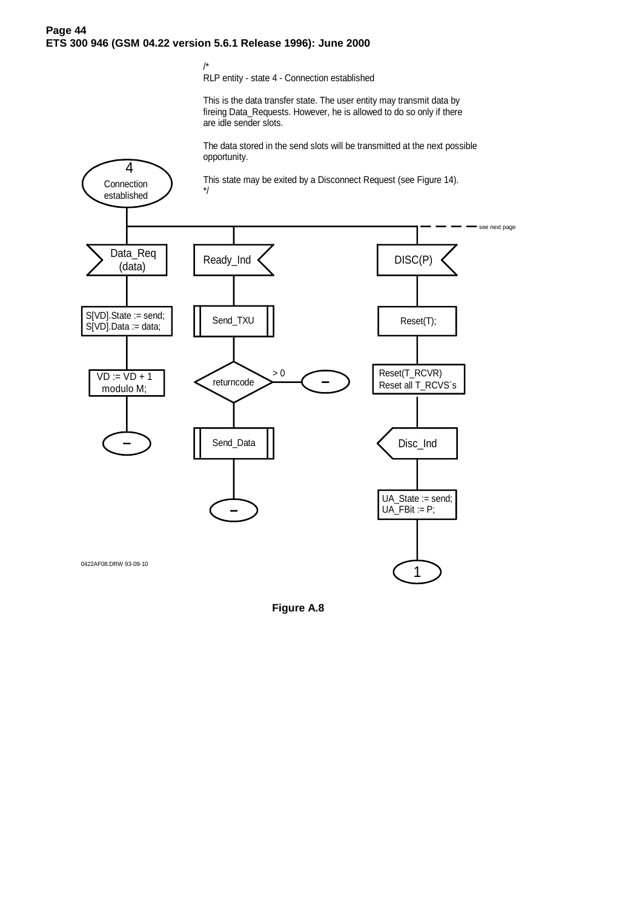#### **Page 44 ETS 300 946 (GSM 04.22 version 5.6.1 Release 1996): June 2000**

/\*

RLP entity - state 4 - Connection established

This is the data transfer state. The user entity may transmit data by fireing Data\_Requests. However, he is allowed to do so only if there are idle sender slots.

The data stored in the send slots will be transmitted at the next possible opportunity.



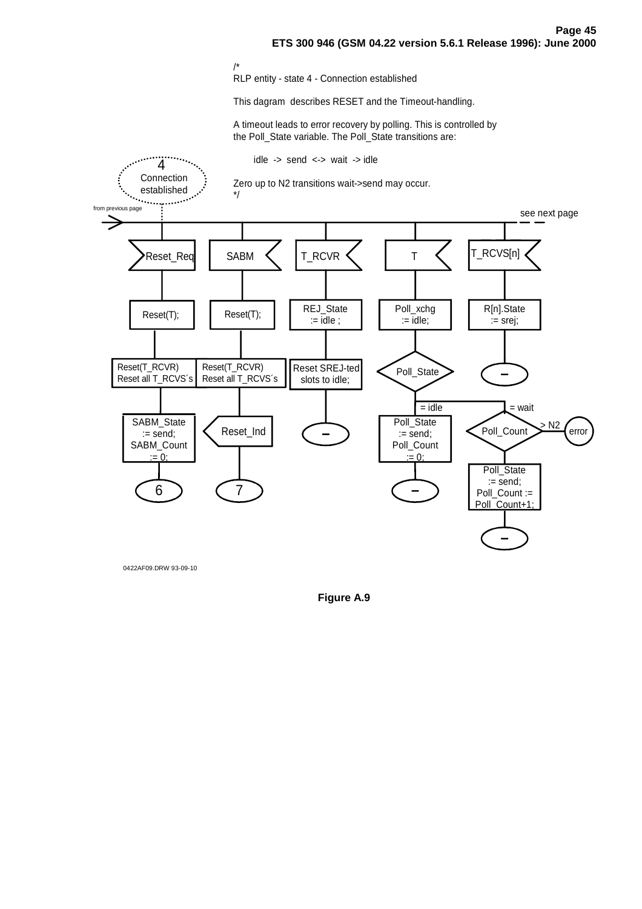/\*

RLP entity - state 4 - Connection established

This dagram describes RESET and the Timeout-handling.

A timeout leads to error recovery by polling. This is controlled by the Poll\_State variable. The Poll\_State transitions are:

idle -> send <-> wait -> idle

**Connection** established ...<br>4 Reset(T); 6 Reset\_Req | SABM  $\zeta$  | T\_RCVR  $\zeta$  | T Zero up to N2 transitions wait->send may occur. \*/ Poll\_State see next page from previous page from the control of the set of the set of the set of the set of the set of the set of the set of the set of the set of the set of the set of the set of the set of the set of the set of the SABM\_State := send; SABM\_Count :=  $0$ ; Reset\_Ind 7 T\_RCVR REJ State  $:=$  idle  $:$ Reset SREJ-ted slots to idle; Poll\_Count  $=$  idle  $=$  wait Reset(T); error  $P$ oll $_$ State  $> N^2$ := send; Poll\_Count  $:= 0;$ Poll State := send: Poll\_Count := Poll\_Count+1 Poll\_xchg := idle; T\_RCVS[n] R[n].State := srej; Reset(T\_RCVR) Reset all T\_RCVS's Reset(T\_RCVR) Reset all T\_RCVS's

0422AF09.DRW 93-09-10

**Figure A.9**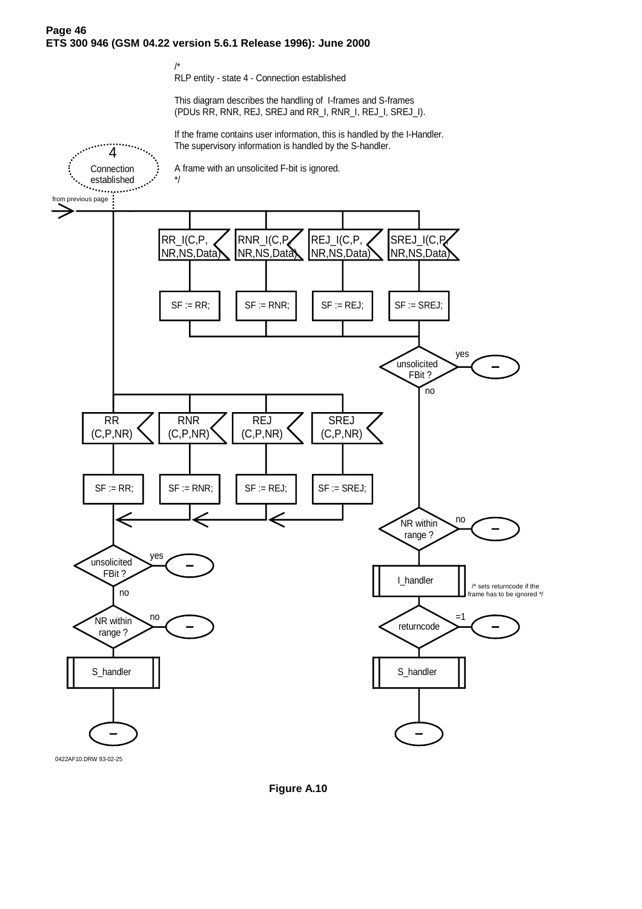#### **Page 46 ETS 300 946 (GSM 04.22 version 5.6.1 Release 1996): June 2000**



0422AF10.DRW 93-02-25

**Figure A.10**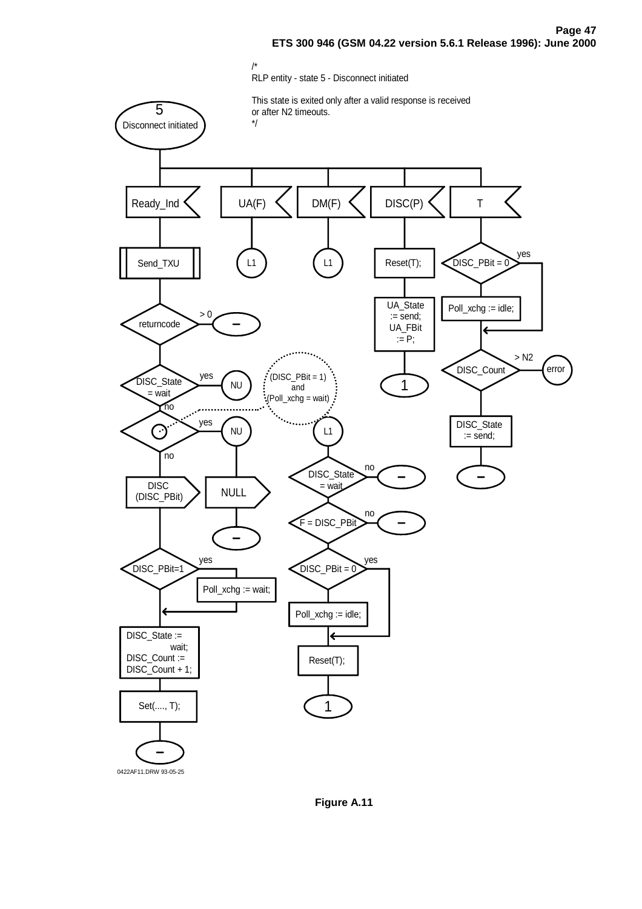/\* RLP entity - state 5 - Disconnect initiated



**Figure A.11**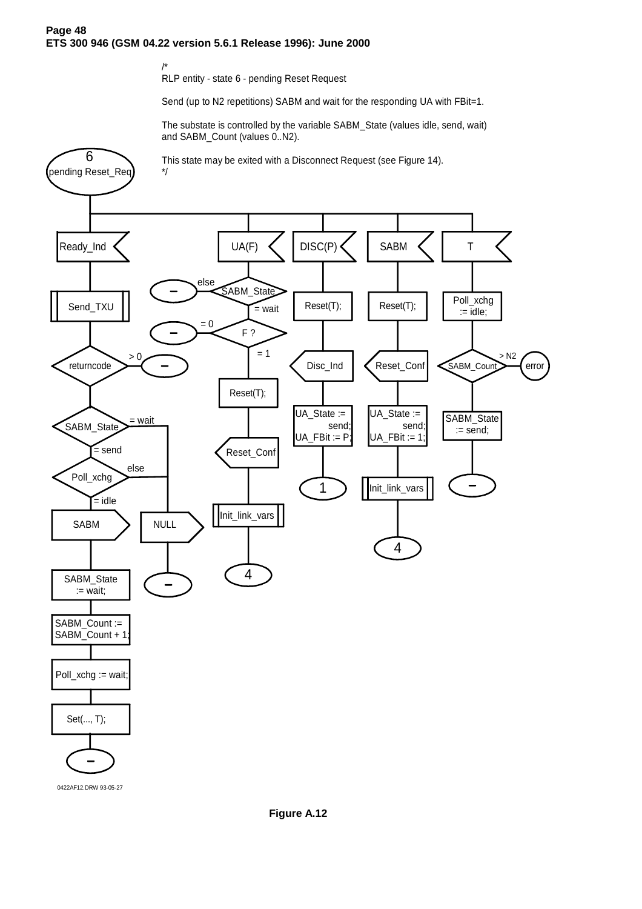#### **Page 48 ETS 300 946 (GSM 04.22 version 5.6.1 Release 1996): June 2000**

/\* RLP entity - state 6 - pending Reset Request

Send (up to N2 repetitions) SABM and wait for the responding UA with FBit=1.

The substate is controlled by the variable SABM\_State (values idle, send, wait) and SABM\_Count (values 0..N2).

6 This state may be exited with a Disconnect Request (see Figure 14). pending Reset\_Req \*/ Ready\_Ind  $UA(F)$   $\left\{$   $\right|$  DISC(P)  $\left\{$   $\right|$  SABM  $\left\{$   $\right|$  T SABM else SABM\_State Poll\_xchg Reset(T); Reset(T); Send\_TXU  $=$  wait := idle;  $= 0$ F ?  $= 1$ > 0 > N2 returncode Disc\_Ind Reset\_Conf SABM\_Count error Reset(T); UA\_State := UA\_State := SABM\_State = wait send; SABM\_State send; := send;  $UA$ <sub>\_FBit</sub> := P  $UA_FBit := 1$ = send Reset\_Conf else Poll\_xchg 1 Init\_link\_vars  $=$  idle Init\_link\_vars SABM > NULL 4 4 SABM\_State — := wait; SABM\_Count := SABM\_Count + Poll\_xchg := wait; Set(..., T);

0422AF12.DRW 93-05-27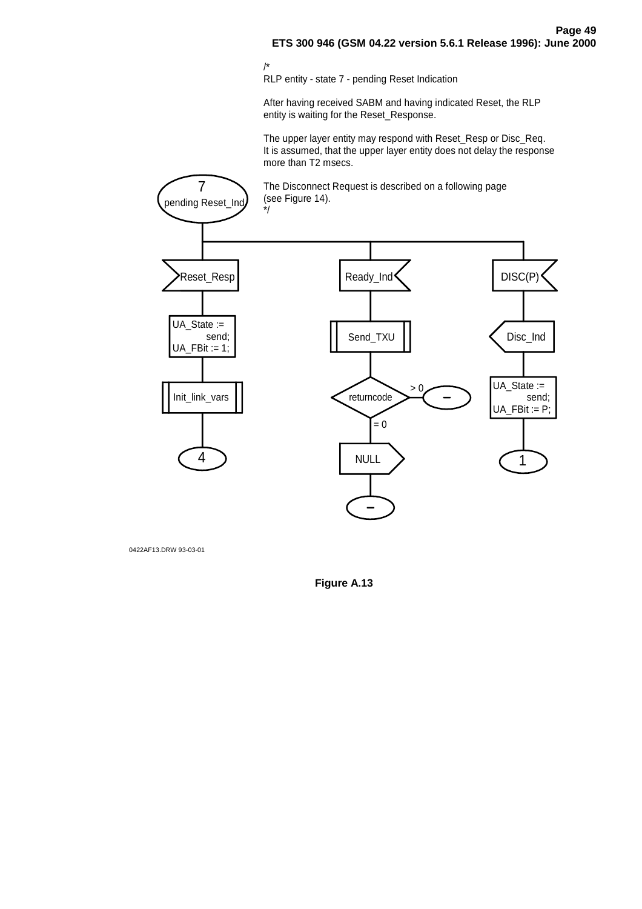/\*

RLP entity - state 7 - pending Reset Indication

After having received SABM and having indicated Reset, the RLP entity is waiting for the Reset\_Response.

The upper layer entity may respond with Reset\_Resp or Disc\_Req. It is assumed, that the upper layer entity does not delay the response more than T2 msecs.



0422AF13.DRW 93-03-01

**Figure A.13**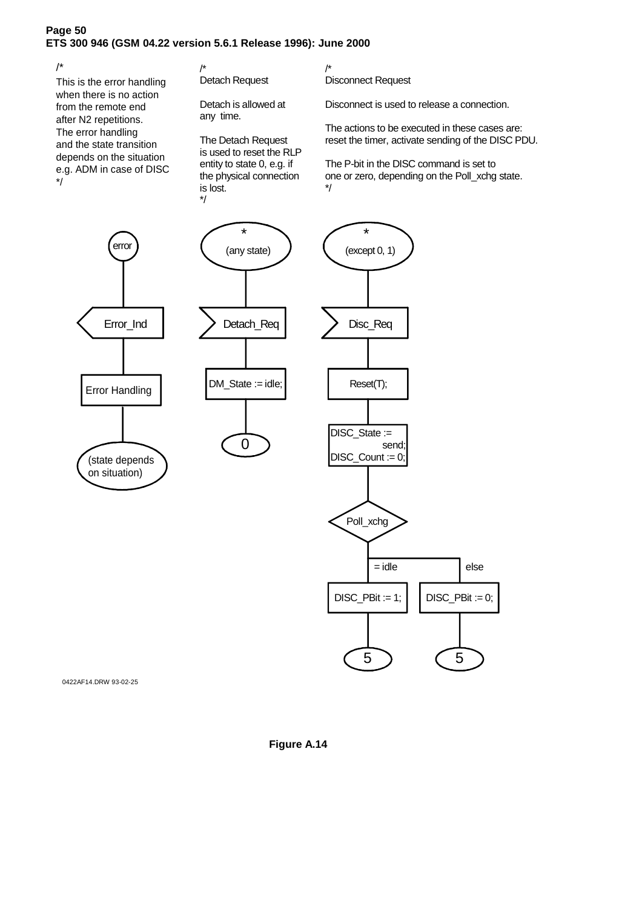# **Page 50 ETS 300 946 (GSM 04.22 version 5.6.1 Release 1996): June 2000**



0422AF14.DRW 93-02-25



DISC  $PBit := 1$ ;

5

5

DISC  $PBit := 0$ ;

 $=$  idle else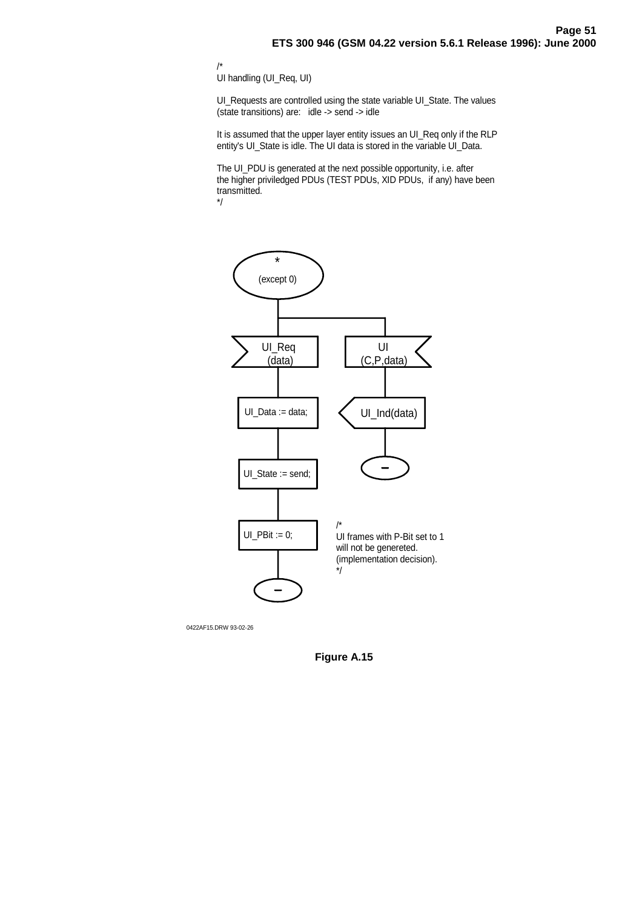/\*

UI handling (UI\_Req, UI)

UI\_Requests are controlled using the state variable UI\_State. The values (state transitions) are: idle -> send -> idle

It is assumed that the upper layer entity issues an UI\_Req only if the RLP entity's UI\_State is idle. The UI data is stored in the variable UI\_Data.

The UI\_PDU is generated at the next possible opportunity, i.e. after the higher priviledged PDUs (TEST PDUs, XID PDUs, if any) have been transmitted. \*/

 $UI_PBit := 0;$ (except 0) \* UI\_Req (data) UI\_Data := data; UI (C,P,data) UI\_Ind(data) UI\_State := send; /\* UI frames with P-Bit set to 1 will not be genereted. (implementation decision). \*/

0422AF15.DRW 93-02-26

**Figure A.15**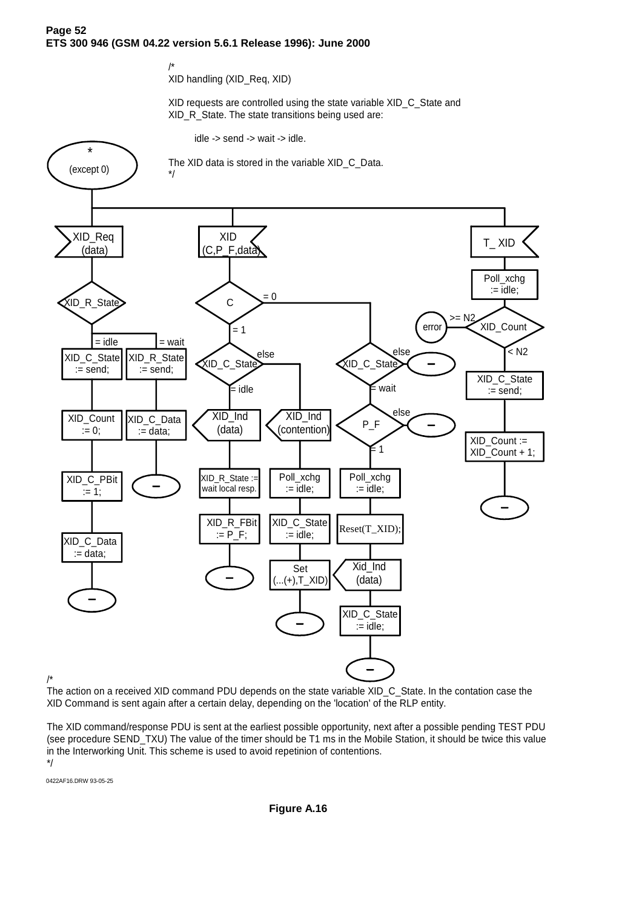#### **Page 52 ETS 300 946 (GSM 04.22 version 5.6.1 Release 1996): June 2000**

\*/

/\* XID handling (XID\_Req, XID)

XID requests are controlled using the state variable XID\_C\_State and XID R State. The state transitions being used are:

idle -> send -> wait -> idle.

The XID data is stored in the variable XID C Data.



#### /\*

The action on a received XID command PDU depends on the state variable XID\_C\_State. In the contation case the XID Command is sent again after a certain delay, depending on the 'location' of the RLP entity.

The XID command/response PDU is sent at the earliest possible opportunity, next after a possible pending TEST PDU (see procedure SEND\_TXU) The value of the timer should be T1 ms in the Mobile Station, it should be twice this value in the Interworking Unit. This scheme is used to avoid repetinion of contentions. \*/

0422AF16.DRW 93-05-25

(except 0)

\*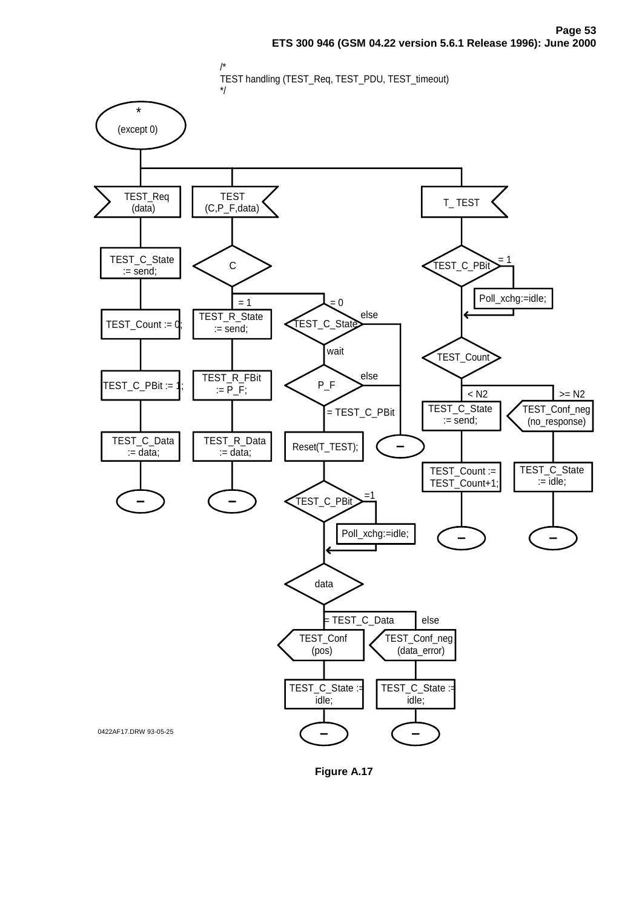



**Figure A.17**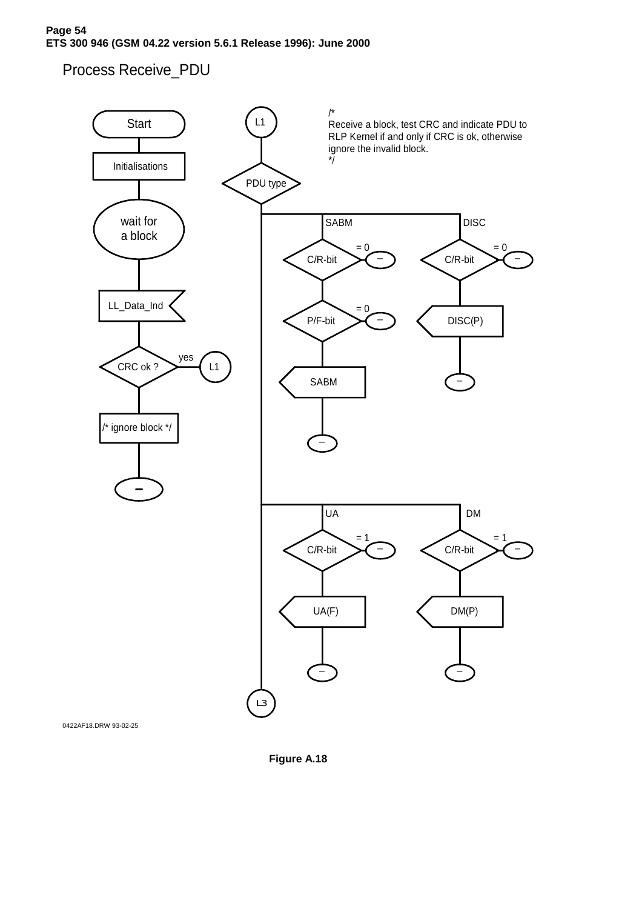Process Receive\_PDU



0422AF18.DRW 93-02-25

**Figure A.18**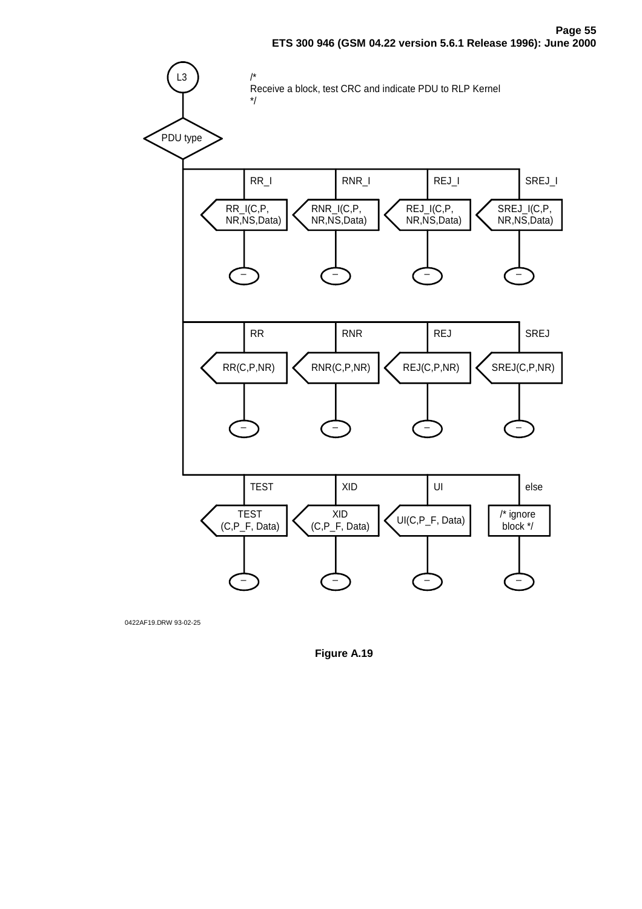

0422AF19.DRW 93-02-25

**Figure A.19**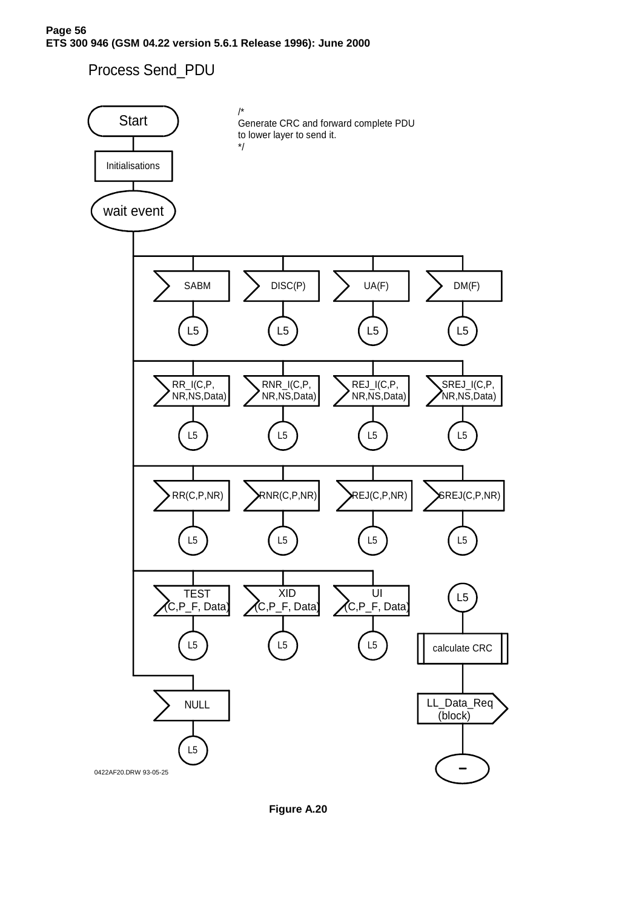# Process Send\_PDU



**Figure A.20**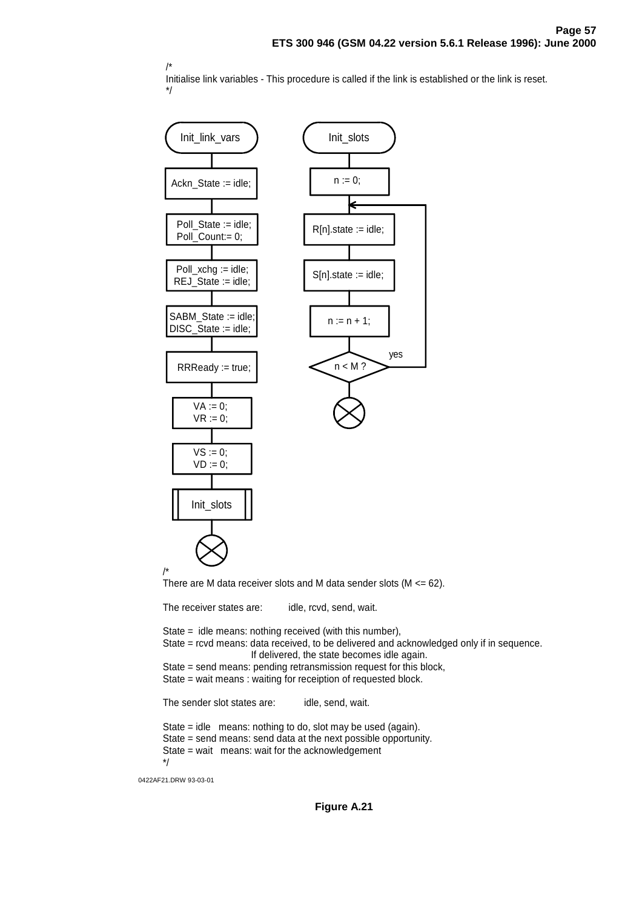/\*

Initialise link variables - This procedure is called if the link is established or the link is reset. \*/



There are M data receiver slots and M data sender slots ( $M \le 62$ ).

The receiver states are: idle, rcvd, send, wait.

State = idle means: nothing received (with this number),

State = rcvd means: data received, to be delivered and acknowledged only if in sequence. If delivered, the state becomes idle again.

State = send means: pending retransmission request for this block,

State = wait means : waiting for receiption of requested block.

The sender slot states are: idle, send, wait.

State = idle means: nothing to do, slot may be used (again). State = send means: send data at the next possible opportunity. State = wait means: wait for the acknowledgement \*/

0422AF21.DRW 93-03-01

**Figure A.21**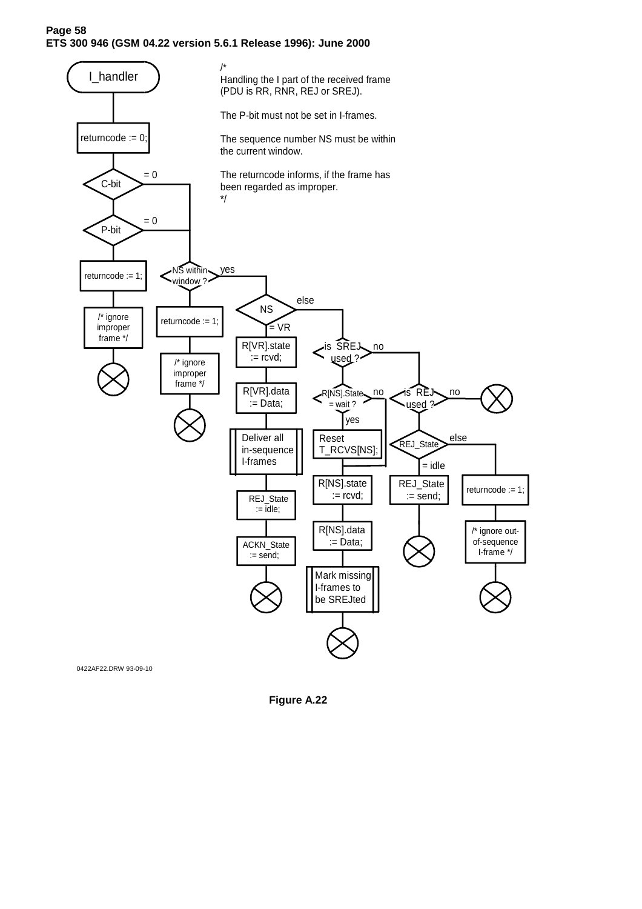#### **Page 58 ETS 300 946 (GSM 04.22 version 5.6.1 Release 1996): June 2000**



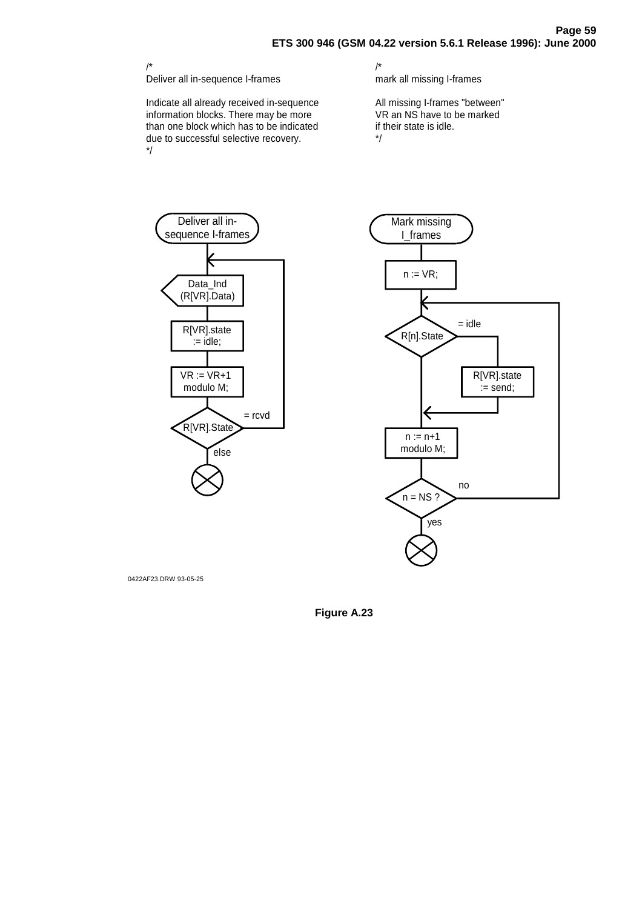/\* Deliver all in-sequence I-frames

Indicate all already received in-sequence information blocks. There may be more than one block which has to be indicated due to successful selective recovery. \*/

/\* mark all missing I-frames

All missing I-frames "between" VR an NS have to be marked if their state is idle. \*/



0422AF23.DRW 93-05-25

**Figure A.23**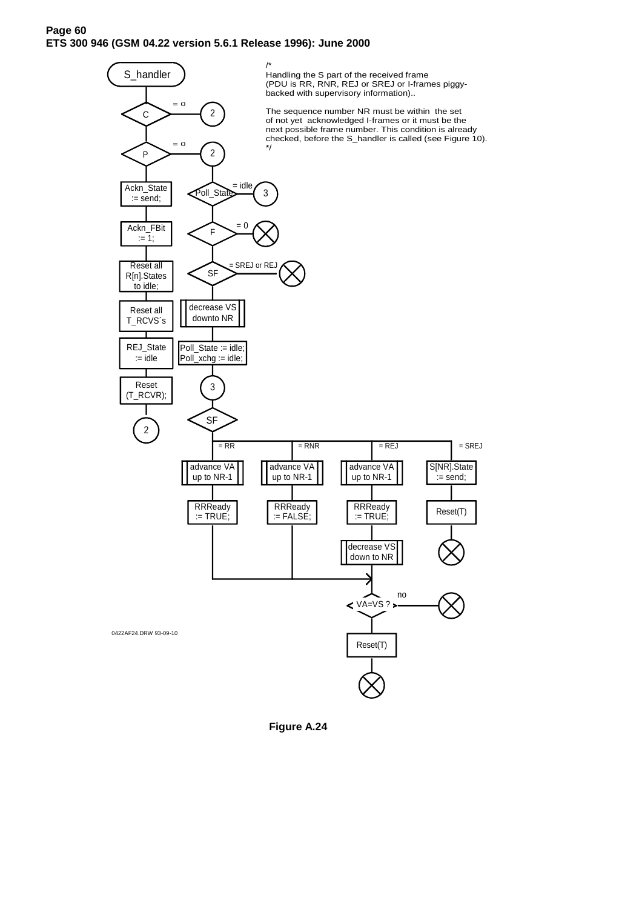#### **Page 60 ETS 300 946 (GSM 04.22 version 5.6.1 Release 1996): June 2000**



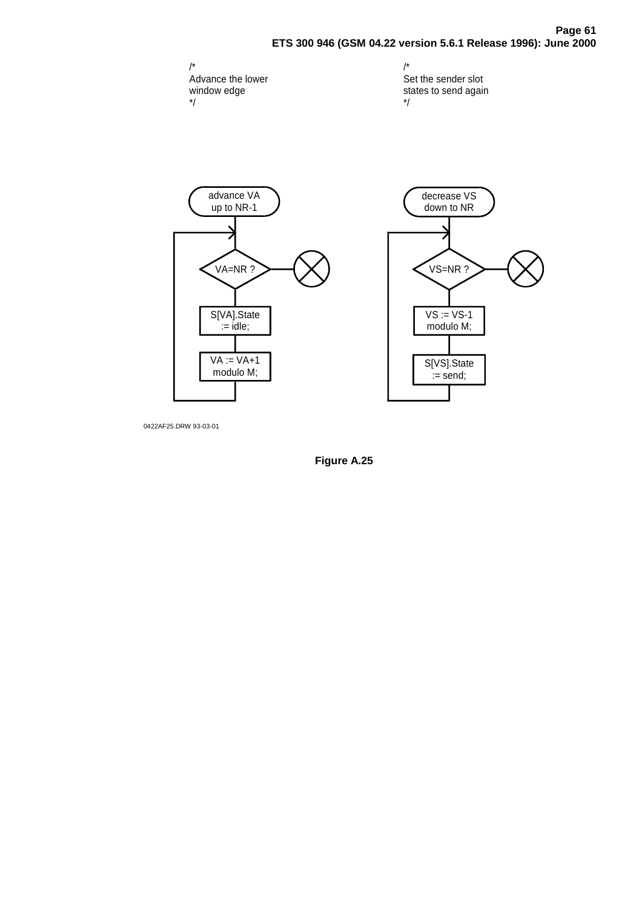





0422AF25.DRW 93-03-01

**Figure A.25**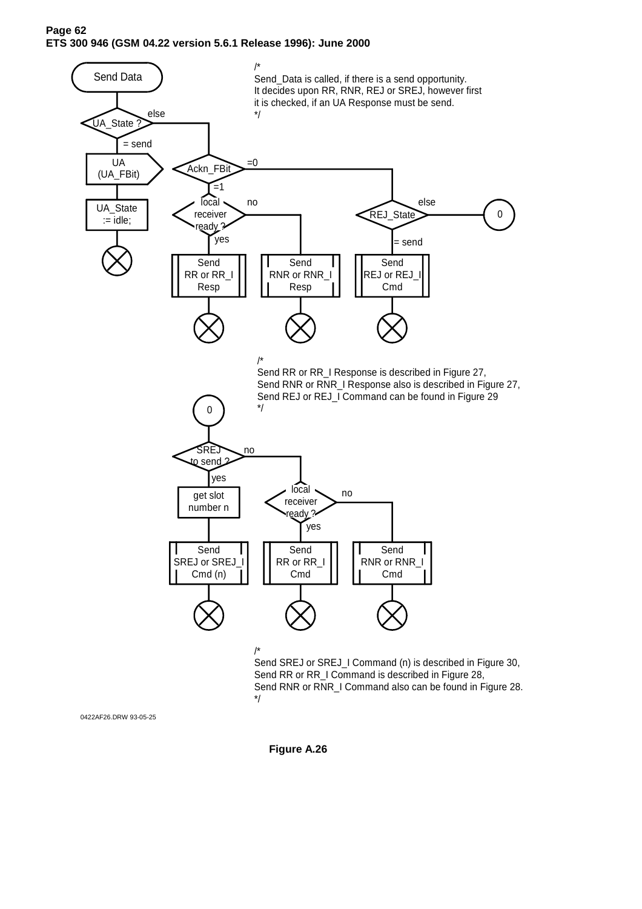#### **Page 62 ETS 300 946 (GSM 04.22 version 5.6.1 Release 1996): June 2000**



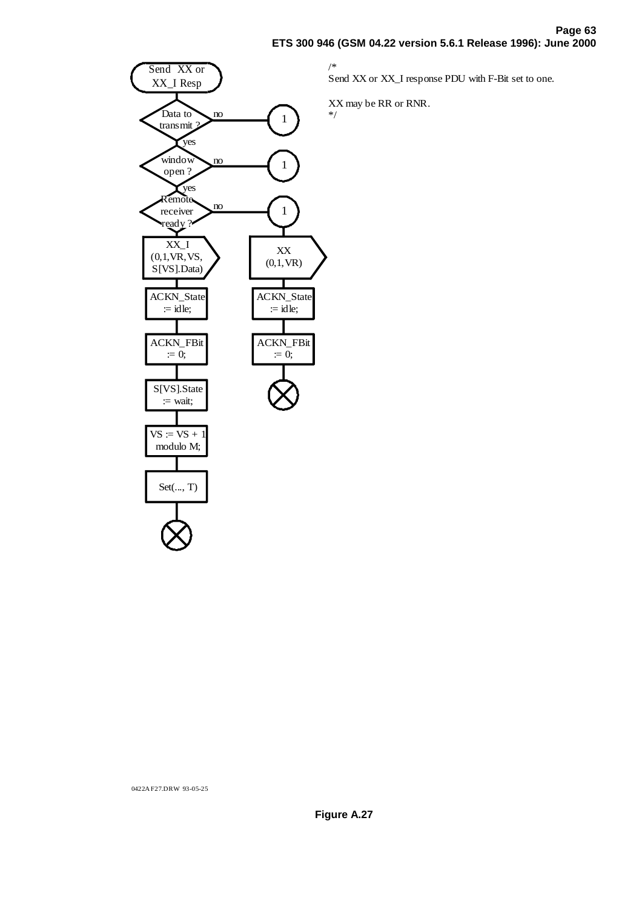#### **Page 63 ETS 300 946 (GSM 04.22 version 5.6.1 Release 1996): June 2000**



Send XX or XX\_I response PDU with F-Bit set to one.

XX may be RR or RNR.

0422A F27.DRW 93-05-25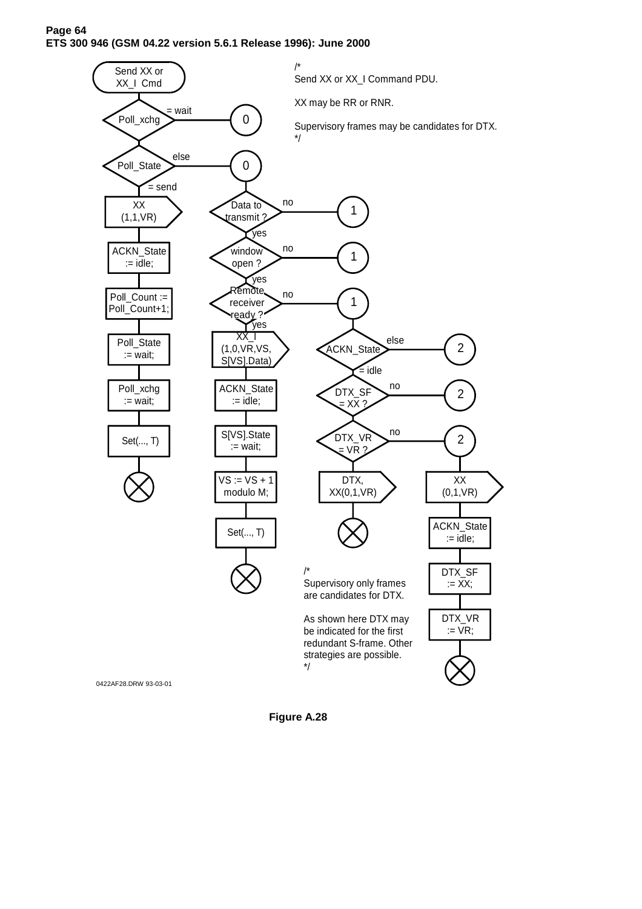#### **Page 64 ETS 300 946 (GSM 04.22 version 5.6.1 Release 1996): June 2000**



0422AF28.DRW 93-03-01

**Figure A.28**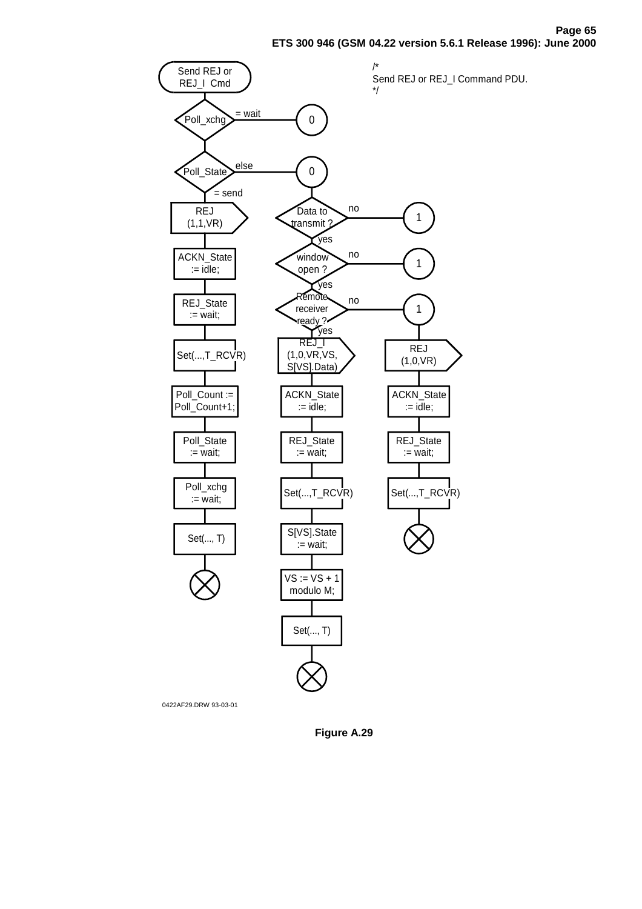#### **Page 65 ETS 300 946 (GSM 04.22 version 5.6.1 Release 1996): June 2000**



**Figure A.29**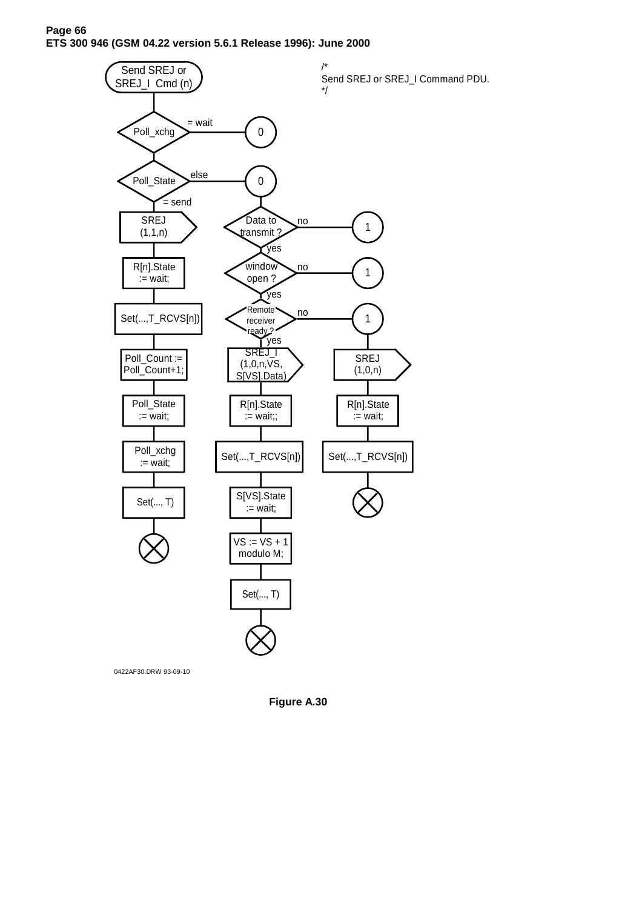#### **Page 66 ETS 300 946 (GSM 04.22 version 5.6.1 Release 1996): June 2000**



**Figure A.30**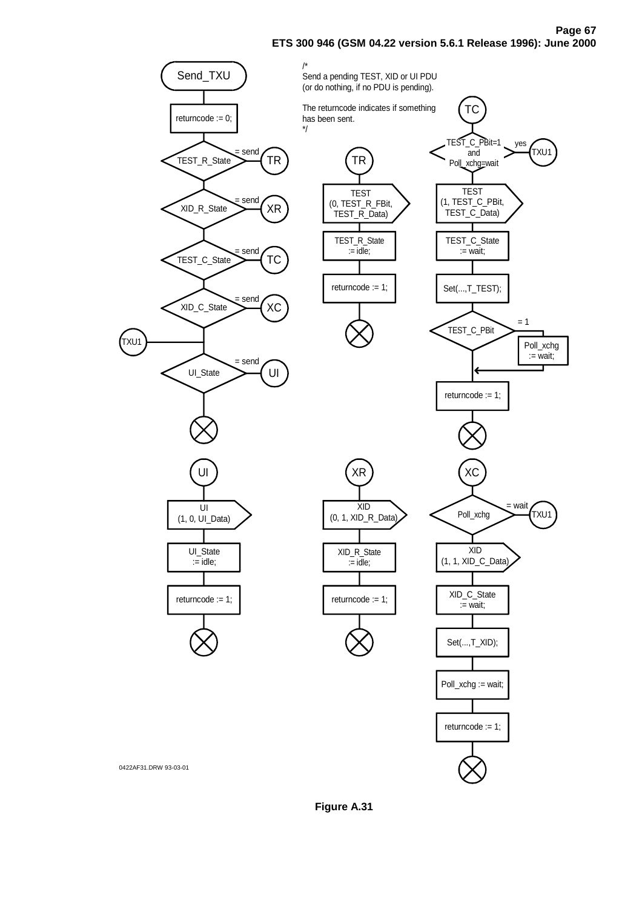#### **Page 67 ETS 300 946 (GSM 04.22 version 5.6.1 Release 1996): June 2000**



**Figure A.31**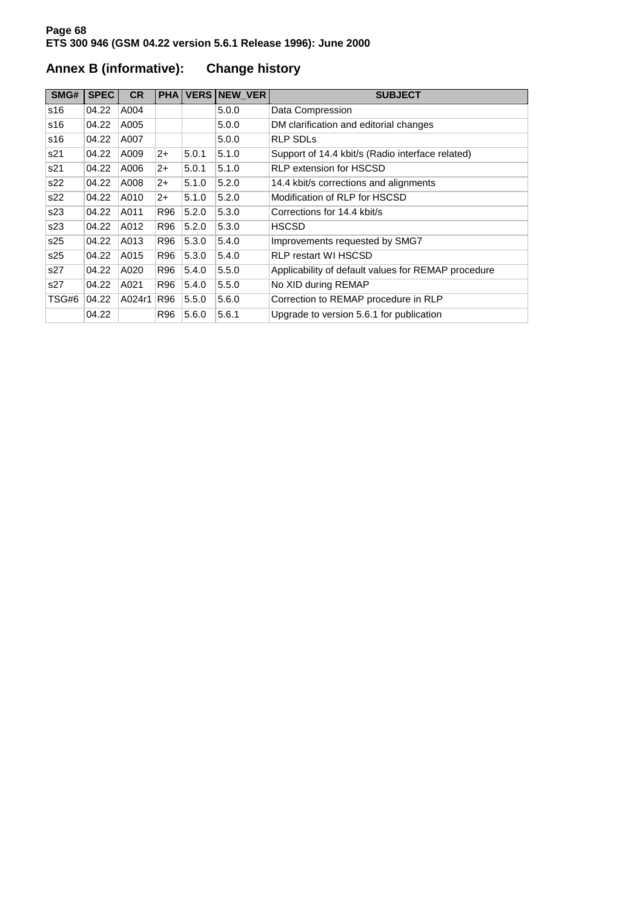# **Annex B (informative): Change history**

| SMG#  | <b>SPEC</b> | <b>CR</b> | <b>PHA</b> |       | <b>VERS NEW VER</b> | <b>SUBJECT</b>                                      |
|-------|-------------|-----------|------------|-------|---------------------|-----------------------------------------------------|
| s16   | 04.22       | A004      |            |       | 5.0.0               | Data Compression                                    |
| s16   | 04.22       | A005      |            |       | 5.0.0               | DM clarification and editorial changes              |
| s16   | 04.22       | A007      |            |       | 5.0.0               | <b>RLP SDLs</b>                                     |
| s21   | 04.22       | A009      | $2+$       | 5.0.1 | 5.1.0               | Support of 14.4 kbit/s (Radio interface related)    |
| s21   | 04.22       | A006      | 2+         | 5.0.1 | 5.1.0               | <b>RLP extension for HSCSD</b>                      |
| s22   | 04.22       | A008      | $2+$       | 5.1.0 | 5.2.0               | 14.4 kbit/s corrections and alignments              |
| s22   | 04.22       | A010      | $2+$       | 5.1.0 | 5.2.0               | Modification of RLP for HSCSD                       |
| s23   | 04.22       | A011      | R96        | 5.2.0 | 5.3.0               | Corrections for 14.4 kbit/s                         |
| s23   | 04.22       | A012      | R96        | 5.2.0 | 5.3.0               | <b>HSCSD</b>                                        |
| s25   | 04.22       | A013      | R96        | 5.3.0 | 5.4.0               | Improvements requested by SMG7                      |
| s25   | 04.22       | A015      | R96        | 5.3.0 | 5.4.0               | <b>RLP restart WI HSCSD</b>                         |
| s27   | 04.22       | A020      | R96        | 5.4.0 | 5.5.0               | Applicability of default values for REMAP procedure |
| s27   | 04.22       | A021      | R96        | 5.4.0 | 5.5.0               | No XID during REMAP                                 |
| TSG#6 | 04.22       | A024r1    | R96        | 5.5.0 | 5.6.0               | Correction to REMAP procedure in RLP                |
|       | 04.22       |           | R96        | 5.6.0 | 5.6.1               | Upgrade to version 5.6.1 for publication            |